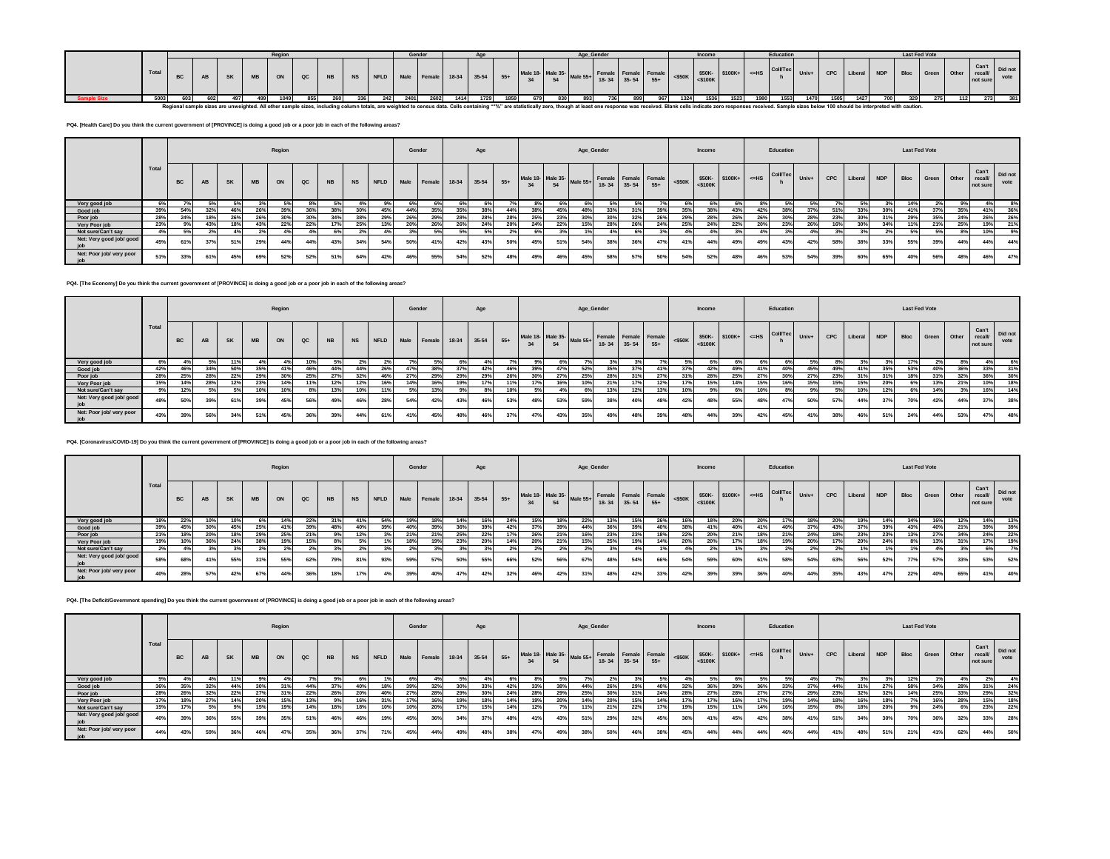|  |       |  |           |           |      |      |      |  | Gender |                                     |      |      |      |     |     | Age Gender |  |      | Income |       | Education |      |      |      |                                                                                                                                                                                                                                | <b>Last Fed Vote</b> |                                                                                                                                         |     |     |         |
|--|-------|--|-----------|-----------|------|------|------|--|--------|-------------------------------------|------|------|------|-----|-----|------------|--|------|--------|-------|-----------|------|------|------|--------------------------------------------------------------------------------------------------------------------------------------------------------------------------------------------------------------------------------|----------------------|-----------------------------------------------------------------------------------------------------------------------------------------|-----|-----|---------|
|  | Total |  | <b>SK</b> | <b>MB</b> | ON   | QC I | NB N |  |        | NS NFLD Male Female 18-34 35-54 55+ |      |      |      |     |     |            |  |      |        |       |           |      |      |      |                                                                                                                                                                                                                                |                      | Male 18- Male 35- Male 55+ Female Female Female Female 4500K SSOK STOOK+ C=HS COUTEC Univ+ CPC Liberal NDP Bloc Green Other recall vote |     |     | Did not |
|  | 5003  |  |           |           | 1049 | 8551 |      |  | 2401   | 2602                                | 1414 | 1729 | 1859 | 679 | 830 | 893        |  | 1324 | 1536   | 15231 | 1553      | 1470 | 1505 | 1427 |                                                                                                                                                                                                                                |                      | 275                                                                                                                                     | 112 | 273 | 381     |
|  |       |  |           |           |      |      |      |  |        |                                     |      |      |      |     |     |            |  |      |        |       |           |      |      |      | Regional sample sizes are unweighted. All other sample sizes, including column totals, are weighted to census data. Cells containing "*%" are statistically zero, though at least one response was received. Blank cells indic |                      |                                                                                                                                         |     |     |         |

**PQ4. [Health Care] Do you think the current government of [PROVINCE] is doing a good job or a poor job in each of the following areas?**

|                          |       |           |           |           |           | Region |               |           |                |     |     | Gender                              |     | Age |     |                                                 |     |     | Age_Gender |             |       |           | Income        |               |       | Education       |       |     |         |            | <b>Last Fed Vote</b> |       |              |                   |                 |
|--------------------------|-------|-----------|-----------|-----------|-----------|--------|---------------|-----------|----------------|-----|-----|-------------------------------------|-----|-----|-----|-------------------------------------------------|-----|-----|------------|-------------|-------|-----------|---------------|---------------|-------|-----------------|-------|-----|---------|------------|----------------------|-------|--------------|-------------------|-----------------|
|                          | Total | <b>BC</b> | <b>AB</b> | <b>SK</b> | <b>MB</b> | ON     | $_{\alpha c}$ | <b>NB</b> |                |     |     | NS NFLD Male Female 18-34 35-54 55+ |     |     |     | Male 18- Male 35- Male 55+ Female Female Female | 54  |     |            | 18-34 35-54 | $55+$ | $<$ \$50K | $<$ \$100 $K$ | \$50K-\$100K+ | $=HS$ | <b>Coll/Tec</b> | Univ+ | CPC | Liberal | <b>NDP</b> | Bloc                 | Green | Other recall | Can't<br>not sure | Did not<br>vote |
| Very good job            | 6%    |           | 5%        |           | 3%        | 5%     | 8%            |           |                |     | 6%  |                                     |     | 6%  |     |                                                 |     |     |            |             | 7% I  | 6%        |               |               |       | 5%              |       |     |         |            | 14%                  | 2%    | 9%           | 4%                |                 |
| Good job                 | 39%   | 54%       | 32%       | 46%       | 26%       | 39%    | 36%           | 38%       | 30%            | 45% | 44% | 35%                                 | 35% | 38% | 44% |                                                 | 45% | 48% | 33%        |             | 39%   | 35%       | 38%           | 43%           | 42%   | 38%             | 37%   | 51% | 33%     | 30%        | 41%                  | 37%   | 35%          | 41%               | 36%             |
| Poor job                 | 28%   | 24%       | 18%       | 26%       | 26%       | 30%    | 30%           | 34%       | 38%            | 29% | 26% | 29%                                 | 28% | 28% | 28% | 25%                                             | 23% | 30% | 30%        | 32%         | 26%   | 29%       | 28%           | 26%           | 26%   | 30%             | 28%   | 23% | 30%     |            | 29%                  | 35%   | 24%          | 26%               | 26%             |
| Very Poor job            | 23%   |           | 43%       |           | 43%       | 22%    | 22%           | 17%       | 25%            | 13% | 20% | 26%                                 | 26% | 24% | 20% | 24%                                             | 22% | 15% | 28%        | 26%         | 24%   | 25%       | 24%           | 22%           | 20%   | 23%             | 26%   | 16% | 30%     | 34%        | 11%                  | 21%   | 25%          | 19%               | 21%             |
| Not sure/Can't say       | 4%    | 5%        | 2%        |           | 2%        |        |               | 6%        | 2 <sup>9</sup> | 4%  |     |                                     |     | 5%  |     | 6%                                              | 3%  |     | 4%         |             |       | 4%        |               |               |       |                 | 4%    |     |         |            |                      | 5%    | 8%           | 10%               | 9%              |
| Net: Very good job/ good | 45%   | 61%       | 270/      | 51%       | 29%       | 44%    | 44%           | 43%       | 34%            | 54% | 50% | 41%                                 | 42% | 43% | 50% | 45%                                             | 51% | 54% | 38%        |             | 47%   | 41%       | 44%           | 49%           | 49%   | 43%             | 42%   | 58% | 38%     | 33%        | 55%                  | 39%   | 44%          | 44%               | 44%             |
| Net: Poor job/ very poor | 51%   | 33%       | 61%       | 45%       | 69%       | 52%    | 52%           | 51%       | 64%            | 42% | 46% | 55%                                 | 54% | 52% | 48% | 49%                                             | 46% | 45% | 58%        | 57%         | 50%   | 54%       | 52%           | 48%           | 46%   | 53%             | 54%   | 39% | 60%     | 65%        | 40%                  | 56%   | 48%          | 46%               | 47%             |

**PQ4. [The Economy] Do you think the current government of [PROVINCE] is doing a good job or a poor job in each of the following areas?**

|                                 |       |           |           |             |           | Region |     |           |     |      | Gender |        |       | Age     |       |     |     |                            | Age_Gender                          |     |       |           | Income        |               |       | Education       |       |            |         |            | <b>Last Fed Vote</b> |       |       |                             |                 |
|---------------------------------|-------|-----------|-----------|-------------|-----------|--------|-----|-----------|-----|------|--------|--------|-------|---------|-------|-----|-----|----------------------------|-------------------------------------|-----|-------|-----------|---------------|---------------|-------|-----------------|-------|------------|---------|------------|----------------------|-------|-------|-----------------------------|-----------------|
|                                 | Total | <b>BC</b> | <b>AB</b> | <b>SK</b>   | <b>MB</b> | ON     | QC  | <b>NB</b> | NS  | NFLD | Male   | Female | 18-34 | $35-54$ | $55+$ |     | 54  | Male 18- Male 35- Male 55+ | Female Female Female<br>18-34 35-54 |     | $55+$ | $<$ \$50K | $<$ \$100 $K$ | \$50K-\$100K+ | $=HS$ | <b>Coll/Tec</b> | Univ+ | <b>CPC</b> | Liberal | <b>NDP</b> | Bloc                 | Green | Other | Can't<br>recall<br>not sure | Did not<br>vote |
| Very good job                   | 6%    |           |           |             |           |        | 10% |           |     |      |        |        |       |         |       |     |     |                            |                                     |     |       |           |               |               |       |                 |       |            |         |            |                      |       |       |                             | 6%              |
| Good job                        | 42%   | 46%       | 34%       | 50%         | 35%       |        | 46% | 44%       | 44% | 26%  | 47%    | 38%    | 37%   | 42%     | 46%   | 39% | 47% | 52%                        |                                     |     |       |           | 42%           | 49%           |       | 40%             | 45%   | 49%        | 41%     | 35%        | 53%                  | 40%   | 36%   | 33%                         | 31%             |
| Poor job                        | 28%   | 25%       | 28%       | 22%         | 29%       | 30%    | 25% | 27%       | 32% | 46%  | 27%    | 29%    | 29%   | 29%     | 26%   | 30% | 27% | 25%                        | 28%                                 |     |       |           | 28%           | 25%           | 27%   | 30%             | 27%   | 23%        | 31%     | 31%        | 18%                  | 31%   | 32%   |                             | 30%             |
| Very Poor job                   | 15%   | 14%       | 28%       |             | 23%       |        | 11% | 12%       | 12% | 16%  | 14%    | 16%    | 19%   | 17%     |       | 17% | 16% | 10%                        | 21%                                 | 17% | 12%   |           | 15%           | 14%           | 15%   | 16%             | 15%   | 15%        | 15%     | 20%        |                      | 13%   | 21%   | 10%                         | 18%             |
| Not sure/Can't say              | 9%    | 12%       |           | <b>FOL.</b> | 10%       | 10%    | 8%  | 13%       | 10% | 11%  | 5%     | 13%    | 9%    | 8%      | 10%   | 5%  | 4%  | 6%                         | 13%                                 | 12% | 13%   | 10%       |               | 6%            | 10%   |                 |       | .5%        | 10%     | 12%        |                      | 14%   |       | 16%                         | 14%             |
| Net: Very good job/ good<br>iob | 48%   | 50%       | 39%       | 61%         | 39%       | 45%    | 56% | 49%       | 46% | 28%  | 54%    | 42%    | 43%   | 46%     | 53%   | 48% | 53% | 59%                        | 38%                                 | 40% | 48%   | 42%       | 48%           | 55%           | 48%   | 47%             | 50%   | 57%        | 44%     | 37%        | 70%                  | 42%   | 44%   | 37%                         | 38%             |
| Net: Poor job/ very poor        | 43%   | 39%       | 56%       | 34%         | 51%       | 45%    | 36% | 39%       | 44% | 61%  |        | 45%    | 48%   | 46%     | 37%   | 47% | 43% | 35%                        | 49%                                 | 48% | 30%   | 48%       | 44%           | 39%           | 42%   | 45%             |       | 38%        | 46%     | 51%        | 24%                  | 44%   | 53%   | 47%                         | 48%             |

**PQ4. [Coronavirus/COVID-19] Do you think the current government of [PROVINCE] is doing a good job or a poor job in each of the following areas?**

|                                 |      |           |     |           |           | Region |     |           |           |      | Gender |        |     | Age         |       |                                   |     | Age_Gender |                      |             |       |           | Income        |     |            | Education                             |     |     |        |          | <b>Last Fed Vote</b> |                  |      |                             |                 |
|---------------------------------|------|-----------|-----|-----------|-----------|--------|-----|-----------|-----------|------|--------|--------|-----|-------------|-------|-----------------------------------|-----|------------|----------------------|-------------|-------|-----------|---------------|-----|------------|---------------------------------------|-----|-----|--------|----------|----------------------|------------------|------|-----------------------------|-----------------|
|                                 | Tota | <b>BC</b> | AB  | <b>SK</b> | <b>MB</b> | ON     | QC  | <b>NB</b> | <b>NS</b> | NFLD | Male   | Female |     | 18-34 35-54 | $55+$ | Male 18- Male 35- Male 55+ Fente- | 54  |            | Female Female Female | 18-34 35-54 | $55+$ | $<$ \$50K | $<$ \$100 $K$ |     |            | $$50K $100K+$ $\leq$ HS COIVTec Univ+ |     | CPC | Libera | $-1$ NDP |                      | Bloc Green Other |      | Can't<br>recall<br>not sure | Did not<br>vote |
| Very good job                   |      | 22%       | 10% |           |           |        | 22% |           | 41%       | 54%  |        | 18%    | 14% | 16%         | 24%   | 15%                               |     | 22%        | 13%                  | 15%         | 26%   | 16%       |               | 20% | <b>20%</b> |                                       | 18% | 20% | 19%    | 14%      |                      |                  |      | 14%                         | 13%             |
| Good job                        | 39%  |           |     | 45%       |           |        | 39° | 48%       | 40%       | 39%  | 40%    | 39%    | 36% | 39%         |       | 37%                               |     | 44%        | 36%                  | 39%         | 40%   | 38%       |               | 40% |            | 40%                                   | 37% | 43% |        | 39%      | 43%                  |                  | 21%  | 39%                         | 39%             |
| Poor job                        | 21%  | 18%       | 20% | 18%       | 29%       | 25%    | 21% |           | 12%       |      | 21%    | 21%    | 25% | 22%         | 17%   | 26%                               | 21% | 16%        | 23%                  | 23%         | 18%   | 22%       | 20%           | 21% | 18%        | 21%                                   | 24% | 18% | 23%    | 23%      | 13%                  | 27%              | 34%  | 24%                         | 22%             |
| Very Poor job                   | 19%  | 10%       | 36% | 24%       | 38%       |        | 15% |           |           |      | 18%    | 19%    | 23% | 20%         |       | 20%                               | 21% | 15%        | 25%                  | 19%         | 14%   | 20%       | 20            |     | 18%        | 19%                                   | 20% |     | 20%    | 24%      | 8%                   | 13%              | 240. | 17%                         | 19%             |
| Not sure/Can't say              |      |           |     |           |           |        |     |           |           |      | 2%     |        |     | 3%          | 2%    | 2%                                |     |            |                      | 4%          |       |           |               |     | 3%         |                                       |     |     | 1%     |          | 1%                   |                  |      | 6%                          | 7%              |
| Net: Very good job/ good<br>iob | 58%  | 68%       |     | 55%       | 31%       | 55%    | 62% |           | 81%       | 93%  | 59%    | 57%    | 50% | 55%         | 66%   | 52%                               | 56% | 67%        | 48%                  | 54%         | 66%   | 54%       | 59%           | 60% | 61%        | 58%                                   | 54% | 63% | 56%    | 52%      | 77%                  | 57%              | 33%  | 53%                         | 52%             |
| Net: Poor job/ very poor<br>job | 40%  | 28%       | 57% | 42%       | 67%       | 44%    | 36% |           | 17%       |      | 39%    | 40%    | 47% | 42%         | 32%   | 46%                               | 42% | 31%        | 48%                  | 42%         | 33%   | 42%       | 39%           | 39% | 36%        | 40%                                   | 44% | 35% | 43%    | 47%      | 22%                  | 40%              | 65%  | 41%                         | 40%             |

**PQ4. [The Deficit/Government spending] Do you think the current government of [PROVINCE] is doing a good job or a poor job in each of the following areas?**

|                                 |       |           |     |           |           | Region |            |                 |     |     | Gender                          |     |     | Age |       |                                  |     | Age_Gender |     |     |                                                                                                                       |            | Income        |     |     | Education                                                                                                                                   |     |     |        |          | <b>Last Fed Vote</b> |            |       |                                     |      |
|---------------------------------|-------|-----------|-----|-----------|-----------|--------|------------|-----------------|-----|-----|---------------------------------|-----|-----|-----|-------|----------------------------------|-----|------------|-----|-----|-----------------------------------------------------------------------------------------------------------------------|------------|---------------|-----|-----|---------------------------------------------------------------------------------------------------------------------------------------------|-----|-----|--------|----------|----------------------|------------|-------|-------------------------------------|------|
|                                 | Total | <b>BC</b> | AB  | <b>SK</b> | <b>MB</b> | ON     | QC         | <b>NB</b>       |     |     | NS NFLD Male Female 18-34 35-54 |     |     |     | $55+$ | Male 18- Male 35- Male 55+<br>34 | 54  |            |     |     | $\begin{array}{c c c c c} \text{Female} & \text{Female} & \text{Female} \\ \hline 18-34 & 35-54 & 55+ \\ \end{array}$ | $\leq$ 50K | $<$ \$100 $K$ |     |     | $\begin{array}{ c c c c c c c c c } \hline \text{550K-} & \text{5100K+} & \text{c=HS} & \text{ColVTec} & \text{Univ+} \ \hline \end{array}$ |     | CPC | Libera | $-1$ NDP |                      | Bloc Green | Other | Can't Did not<br>recall<br>not sure | vote |
| Very good job                   |       |           |     |           |           |        |            |                 |     |     |                                 |     |     |     |       |                                  |     |            |     |     |                                                                                                                       |            |               |     |     |                                                                                                                                             |     |     |        |          | 12%                  |            |       |                                     |      |
| Good job                        | 36%   |           |     |           |           |        | 44%        | 37%             | 40% | 18% |                                 | 32% | 30% | 33% |       | 33%                              | 38% | 44%        | 26% | 29% | 40%                                                                                                                   |            |               | 39% | 36% | 33%                                                                                                                                         | 37% | 44% |        |          | 58%                  |            | 28%   | 31%                                 | 24%  |
| Poor job                        | 28%   | 26%       |     | 22%       |           |        | 22%        | 26%             | 20% | 40% | 27%                             | 28% | 29% | 30% | 24%   | 28%                              | 29% | 25%        | 30% | 31% | 24%                                                                                                                   | 28%        | 27%           | 28% | 27% | 27%                                                                                                                                         | 29% | 23% | 32%    | 32%      | 14%                  | 25%        | 33%   | 29%                                 | 32%  |
| Very Poor job                   |       | 18%       |     | 14%       | 20%       | 15%    | 13%        |                 | 16% | 31% | 17%                             | 16% | 19% | 18% |       | 19%                              | 20% | 14%        | 20% | 15% | 14%                                                                                                                   | 17%        | 17%           | 16% | 17% | 19%                                                                                                                                         | 14% |     | 16%    | 18%      | 7%                   |            | 28%   | 15%                                 | 18%  |
| Not sure/Can't say              | 15%   | 17%       | 5%  | 9%        | 15%       |        | 14%        | 18%             | 18% | 10% | 10%                             | 20% | 17% | 15% |       | 12%                              |     | 11%        | 21% | 22% | 17%                                                                                                                   | 19%        | 15%           | 11% | 14% | 16%                                                                                                                                         | 15% | 8%  | 18%    | 20%      | 9%                   | 24%        | 6%    | 23%                                 | 22%  |
| Net: Very good job/ good<br>iob | 40%   | 39%       | 36% | 55%       | 39%       | 35%    | 51%        | 46%             | 46% | 19% | 45%                             | 36% | 34% | 37% | 48%   | 41%                              | 43% | 51%        | 29% | 32% | 45%                                                                                                                   | 36%        | 415           | 45% | 42% | 38%                                                                                                                                         | 41% | 51% | 34%    | 30%      | 70%                  | 36%        | 32%   | 33%                                 | 28%  |
| Net: Poor job/ very poor        | 44%   |           | 59% | 36%       |           | 47     | $35^\circ$ | 36 <sup>°</sup> | 37% | 71% | 45%                             | 44% | 49% | 48% | 38%   | 47%                              | 49% | 38%        | 50% | 46% | 38%                                                                                                                   | 45%        | 445           | 44% | 44% | 46%                                                                                                                                         | 44% | 41% | 48%    | 51%      | 21%                  | 41%        | 62%   | 44%                                 | 50%  |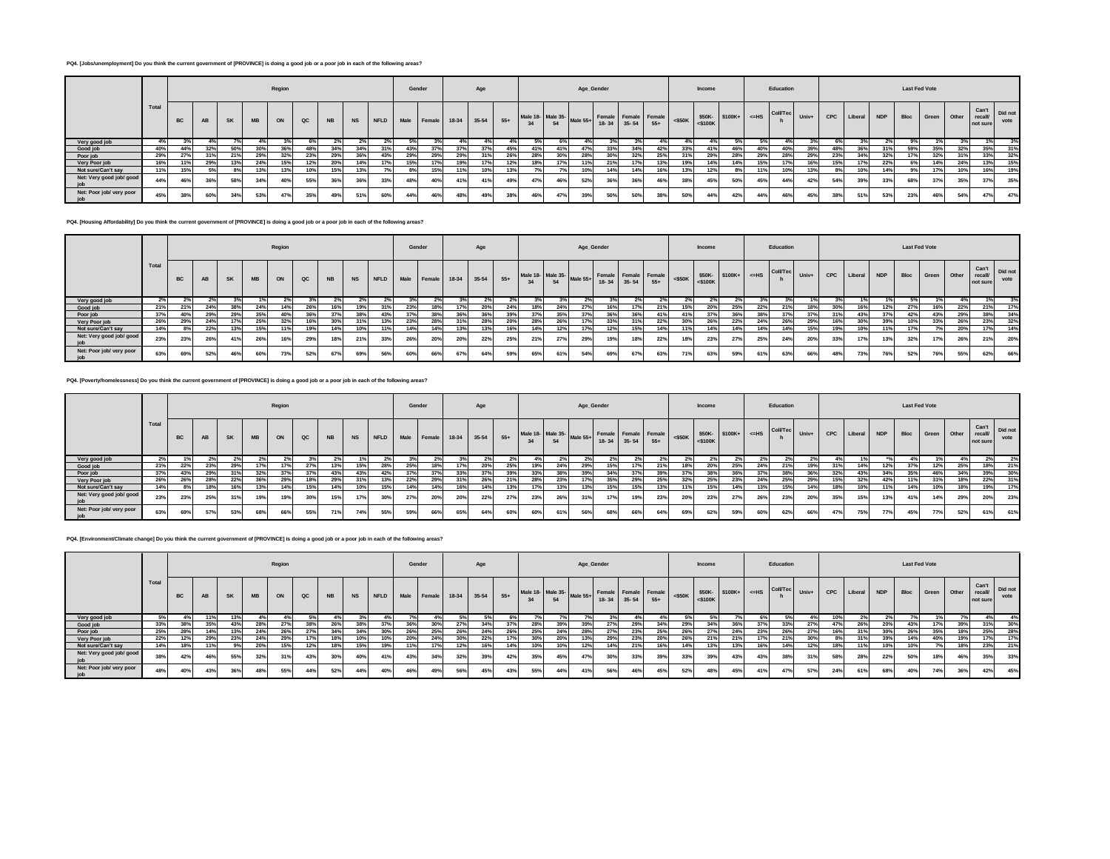## **PQ4. [Jobs/unemployment] Do you think the current government of [PROVINCE] is doing a good job or a poor job in each of the following areas?**

|                          |       |           |           |           |           | Region |               |           |     |     |     | Gender                    |     | Age       |     |                                                                             |     |     | Age_Gender |     |     |           | Income        |                      |     | Education       |       |            |             |     |      | <b>Last Fed Vote</b> |       |                    |                       |
|--------------------------|-------|-----------|-----------|-----------|-----------|--------|---------------|-----------|-----|-----|-----|---------------------------|-----|-----------|-----|-----------------------------------------------------------------------------|-----|-----|------------|-----|-----|-----------|---------------|----------------------|-----|-----------------|-------|------------|-------------|-----|------|----------------------|-------|--------------------|-----------------------|
|                          | Total | <b>BC</b> | <b>AB</b> | <b>SK</b> | <b>MB</b> | ON     | $_{\alpha c}$ | <b>NB</b> |     |     |     | NS NFLD Male Female 18-34 |     | 35-54 55+ |     | Male 18- Male 35-<br>34 54 Male 55+ Female Female Female<br>18-34 35-54 55+ |     |     |            |     |     | $<$ \$50K | $<$ \$100 $K$ | \$50K- \$100K+ <= HS |     | <b>Coll/Tec</b> | Univ+ | <b>CPC</b> | Liberal NDP |     | Bloc | Green '              | Other | recall<br>not sure | Can't Did not<br>vote |
| Very good job            | 4%    |           |           |           |           |        |               | 2%        |     |     |     |                           |     |           |     |                                                                             |     |     |            |     |     |           |               |                      |     |                 |       |            |             | 2%  |      |                      |       |                    |                       |
| Good job                 | 40%   | 44%       |           |           | 30%       |        | 48%           | 34%       | 34% | 31% | 43% | 37%                       | 37% | 37%       | 45% | 41%                                                                         | 41% | 47% | 33%        | 34% | 42% |           | 41%           | 46%                  | 40% | 40%             | 39%   | 48%        | 36%         | 31% | 59%  | 35%                  | 32%   | 35%                | 31%                   |
| Poor job                 | 29%   | 27%       | 2196      | 21%       | 29%       | 32%    | 23%           | 29%       | 36% | 43% | 29% | 29%                       | 29% | 31%       | 26% | 28%                                                                         | 30% | 28% | 30%        | 32% | 25% | 2196      | 29%           | 28%                  | 29% | 28%             | 29%   | 23%        | 34%         | 32% | 17%  | 32%                  | 31%   | 33%                | 32%                   |
| Very Poor job            | 16%   |           | 29%       |           | 24%       |        | 12%           | 20%       | 14% | 17% | 15% | 17%                       | 19% |           | 12% | 18%                                                                         | 17% | 11% | 21%        | 17% | 13% | 19%       | 14%           | 14%                  | 15% |                 | 16%   | 15%        | 17%         | 22% | 6%   | 14%                  | 24%   | 13%                | 15%                   |
| Not sure/Can't say       | 11%   | 15%       |           |           | 13%       | 13%    | 10%           | 15%       | 13% |     | 8%  | 15%                       | 11% | 10%       | 13% |                                                                             | 7%  | 10% | 14%        | 14% | 16% | 13%       |               | 8%                   | 11% | 10%             | 13%   | 8%         | 10%         | 14% |      | 17%                  | 10%   | 16%                | 19%                   |
| Net: Very good job/ good | 44%   |           | 36%       |           |           |        | 55%           | 36%       |     | 33% | 48% | 40%                       | 41% | 41%       | 49% | 47%                                                                         | 46% | 52% | 36%        | 36% | 46% | 38%       | 45%           | 50%                  | 45% | 44%             | 42%   | 54%        | 39%         | 33% | 68%  | 37%                  | 35%   | 37%                | 35%                   |
| Net: Poor job/ very poor | 45%   |           | 60%       | 34%       | 53%       | 47%    | 35%           | 49%       | 51% | 60% | 44% | 46%                       | 48% | 49%       | 38% | 46%                                                                         | 47% | 39% | 50%        | 50% | 38% | 50%       | 44%           | 42%                  | 44% | 46%             | 45%   | 38%        | 51%         | 53% | 23%  | 46%                  | 54%   | 47%                | 47%                   |

**PQ4. [Housing Affordability] Do you think the current government of [PROVINCE] is doing a good job or a poor job in each of the following areas?**

|                                 |      |           |           |           |           | Region       |               |                 |           |      | Gender |             |         | Age   |       |                   |                 |            | Age_Gender                          |     |       |           | Income     |                 |         | Education      |     |     |         |            | <b>Last Fed Vote</b> |             |     |                            |                 |
|---------------------------------|------|-----------|-----------|-----------|-----------|--------------|---------------|-----------------|-----------|------|--------|-------------|---------|-------|-------|-------------------|-----------------|------------|-------------------------------------|-----|-------|-----------|------------|-----------------|---------|----------------|-----|-----|---------|------------|----------------------|-------------|-----|----------------------------|-----------------|
|                                 | Tota | <b>BC</b> | <b>AB</b> | <b>SK</b> | <b>MB</b> | ON           | $_{\alpha c}$ | <b>NB</b>       | <b>NS</b> | NFLD |        | Male Female | $18-34$ | 35-54 | $55+$ | Male 18- Male 35- | 54              | Male $55+$ | Female Female Female<br>18-34 35-54 |     | $55+$ | $<$ \$50K | $<$ \$100K | \$50K-\$100K+   | $<=$ HS | Coll/Tec Univ+ |     | CPC | Liberal | <b>NDP</b> | Bloc                 | Green Other |     | Can't<br>recal<br>not sure | Did not<br>vote |
| Very good job                   |      |           |           |           |           |              |               |                 |           |      |        |             |         |       |       |                   |                 |            |                                     |     |       |           |            |                 |         |                |     |     |         |            |                      |             |     | 1%1                        |                 |
| Good job                        | 21%  | 21%       | 24%       | 38%       | 24%       |              | 26%           | 16 <sup>°</sup> | 19%       | 31%  | 23%    | 18%         |         | 20%   |       | 18%1              | 24%             | 27%        |                                     |     |       | 15%       | 20%        | 25 <sup>°</sup> | 22%     | 21%            | 18% | 30% | 16%     | 12%        |                      | 16%         | 22% | 21%                        | 17%             |
| Poor job                        | 37%  | 40%       | 29%       | 29%       | 35%       | 40°          | 36%           | 37%             | 38%       | 43%  | 37%    | 38%         | 36%     | 36%   | 39%   | $\sim$            | 35%             | 37%        |                                     | 36% |       |           | 37%        |                 | 38%     | 37%            | 37% | 31% | 43%     | 37%        | 42%                  | 43%         | 29% | 38%                        | 34%             |
| Very Poor job                   | 26%  | 29%       | 24%       |           | 25%       | $32^{\circ}$ | 16%           |                 | 31%       | 13%  | 23%    | 28%         |         | 28%   |       | 28%               | 26 <sup>°</sup> | 17%        |                                     |     | 22%   |           | 26%        | 22%             | 24%     | 26%            | 29% | 16% | 30%     | 39%        |                      | 33%         | 26% | 23%                        | 32%             |
| Not sure/Can't say              | 14%  | 8% I      | 22%       | 13%       | 15%       | 11%          | 19%           | 14%             | 10%       | 11%  | 14%    | 14%         | 13%     | 13%   | 16%   | 14%               | 12%             | 17%        | 12%                                 | 15% | 14%   | 11%       | 14%        | 14%             | 14%     | 14%            | 15% | 19% | 10%     | 11%        |                      | 7%          | 20% | 17%                        | 14%             |
| Net: Very good job/ good<br>iob | 23%  | 23%       | 26%       | 41%       | 26%       |              | 29%           | 18 <sup>o</sup> | 21%       | 33%  | 26%    | 20%         | 20%     | 22%   | 25%   | 21%               | 27%             | 29%        |                                     | 18% | 22%   | 18%       | 23%        | $27^\circ$      | 25%     | 24%            | 20% | 33% |         | 13%        | 32%                  | 17%         | 26% | 21%                        | 20%             |
| Net: Poor job/ very poor        | 63%  | 69%       | 52%       |           | 60        | 73%          | 52%           | 67%             | 69%       | 56%  | 60%    | 66%         | 67%     | 64%   | 59%   | 65%               | 61%             | 54%        |                                     | 67% | 63%   | 71%       | 63%        | 59%             | 61%     | 63%            | 66% | 48% | 73%     | 76%        | 52%                  | 76%         | 55% | 62%                        | 66%             |

**PQ4. [Poverty/homelessness] Do you think the current government of [PROVINCE] is doing a good job or a poor job in each of the following areas?**

|                                 |       |           |           |           |           | Region |               |           |     |             | Gender |             |       | Age     |       |     |     | Age_Gender                      |           |       |                               |     | Income |                                                                                                                                                                                 |     | Education |     |     |         |            | <b>Last Fed Vote</b> |       |       |                                     |      |
|---------------------------------|-------|-----------|-----------|-----------|-----------|--------|---------------|-----------|-----|-------------|--------|-------------|-------|---------|-------|-----|-----|---------------------------------|-----------|-------|-------------------------------|-----|--------|---------------------------------------------------------------------------------------------------------------------------------------------------------------------------------|-----|-----------|-----|-----|---------|------------|----------------------|-------|-------|-------------------------------------|------|
|                                 | Total | <b>BC</b> | <b>AB</b> | <b>SK</b> | <b>MB</b> | ON     | $_{\alpha c}$ | <b>NB</b> | NS  | <b>NFLD</b> |        | Male Female | 18-34 | $35-54$ | $55+$ | 34  | 54  | Male 18- Male 35- Male 55+ Fem- | $18 - 34$ | 35-54 | Female Female Female<br>$55+$ |     |        | $\left \right $ <\$50K<br>$\left \right $ <\$50K<br>$\left \right $ \\$50K<br>$\left \right $ \\$100K +<br>$\left \right $ <=HS $\left \right $ Coll/Tec $\left \right $ , then |     |           |     | CPC | Liberal | <b>NDP</b> | Bloc                 | Green | Other | Can't Did not<br>recall<br>not sure | vote |
| Very good job                   |       |           |           |           |           |        |               |           |     | 2%          |        |             |       |         |       |     |     |                                 |           |       |                               |     |        |                                                                                                                                                                                 |     |           |     |     |         |            |                      |       |       |                                     |      |
| Good job                        | 21%   | 22%       | 23%       | 29%       |           |        | 27%           | 13%       | 15% | 28%         | 25%    | 18%         | 17%   |         | 25%   |     | 24% |                                 |           |       | 21%                           |     | 20%    | 25%                                                                                                                                                                             | 24% | 21%       | 19% | 31% | 14%     | 12%        |                      | 12%   | 25%   | 18%                                 | 21%  |
| Poor job                        | 37%   | 43%       | 29%       | 31%       | 32%       | 37%    | 37%           | 43%       | 43% | 42%         | 37%    | 37%         | 33%   |         | 39%   | 33% | 38% |                                 |           |       | 39%                           |     | 38%    | $36^\circ$                                                                                                                                                                      | 37% | 38%       | 36% | 32% | 43%     | 34%        | 35%                  | 46%   | 34%   | 39%                                 | 30%  |
| Very Poor job                   | 26%   | 26%       | 28%       | 22%       | 36%       | 29%    | 18%           | 29%       | 31% | 13%         | 22%    | 29%         | 31%   | 26%     | 21%   | 28% | 23% |                                 | 35%       | 29%   | 25%                           | 32% | 25%    | 23%                                                                                                                                                                             | 24% | 25%       | 29% | 15% | 32%     | 42%        | 11%                  | 31%   | 18%   | 22%                                 | 31%  |
| Not sure/Can't say              | 4%    | 5%        | 18%       | 16%       | 13%       | 14%    | 15%           | 14%       | 10% | 15%         | 14%    | 14%         | 16%   |         | 13%   |     | 13% | 13%                             | 15%       | 15%   | 13%                           |     | 15%    | 14%                                                                                                                                                                             | 13% | 15%       | 14% | 18% | 10%     | 11%        |                      | 10%   | 18%   | 19%                                 |      |
| Net: Very good job/ good<br>iob | 23%   | 23%       | 25%       | 31%       | 19%       | 19%    | 30%           | 15%       | 17% | 30%         | 27%    | 20%         | 20%   | 22%     | 27%   | 23% | 26% |                                 | 17%       | 19%   | 23%                           | 20% | 23%    | $27^\circ$                                                                                                                                                                      | 26% | 23%       | 20% | 35% | 15%     | 13%        | 41%                  | 14%   | 29%   | 20%                                 | 23%  |
| Net: Poor job/ very poor<br>job | 63%   | 69%       |           | 53%       | 68%       | 66%    | 55%           | 71%       | 74% | 55%         | 59%    | 66%         | 65%   | 64%     | 60%   |     | 61% | 56%                             | 68%       | 66%   | 64%                           | 69% | 62%    | 59°                                                                                                                                                                             | 60% | 62%       | 66% | 47% | 75%     | 77%        | 45%                  | 77%   | 52%   |                                     | 61%  |

**PQ4. [Environment/Climate change] Do you think the current government of [PROVINCE] is doing a good job or a poor job in each of the following areas?**

|                                 |       |           |           |           |           | Region |     |           |     |             | Gender |        |     | Age         |       |     |     | Age_Gender                         |             |     |                                      |                 | Income        |                                        |     | Education |     |     |         |            | <b>Last Fed Vote</b> |       |              |                            |                 |
|---------------------------------|-------|-----------|-----------|-----------|-----------|--------|-----|-----------|-----|-------------|--------|--------|-----|-------------|-------|-----|-----|------------------------------------|-------------|-----|--------------------------------------|-----------------|---------------|----------------------------------------|-----|-----------|-----|-----|---------|------------|----------------------|-------|--------------|----------------------------|-----------------|
|                                 | Total | <b>BC</b> | <b>AB</b> | <b>SK</b> | <b>MB</b> | ON     | QC  | <b>NB</b> | NS  | <b>NFLD</b> | Male   | Female |     | 18-34 35-54 | $55+$ |     | 54  | Male 18- Male 35- Male 55+ Felixe- | 18-34 35-54 |     | Female Female Female <\$50K<br>$55+$ |                 | $<$ \$100 $K$ | $$50K $100K+$ $\leq$ HS Coll/Tec Univ+ |     |           |     | CPC | Liberal | <b>NDP</b> | Bloc                 | Green | <b>Other</b> | Can't<br>recall<br>not sur | Did not<br>vote |
| Very good job                   |       |           |           |           |           |        |     |           |     |             |        |        |     |             |       |     |     |                                    |             |     |                                      |                 | 59            |                                        |     |           |     | 10% |         |            |                      | 1%1   |              |                            |                 |
| Good job                        | 33%   |           |           | 43%       | 28%       | 27%    | 38% | 26%       | 38% | 37%         | 36%    | 30%    | 27% | 34%         | 37%   | 28% | 39% | 39%                                | 27%         | 29% | 34%                                  | 29%             | 34%           | 36%                                    | 37% | 33%       | 27% | 47% | 26%     | 20%        | 43%                  | 17%   |              | 31%                        | 30%             |
| Poor job                        | 25%   | 28%       | 14%       |           | 24%       | 26%    | 27% | 34%       | 34% | 30%         | 26%    | 25%    | 26% |             | 26%   | 25% | 24% | 28%                                | 27%         | 23% | 25%                                  | 26%             | 27%           | 24%                                    | 23% | 26%       | 27% | 16% | 31%     | 30%        | 26%                  | 35%   | 18%          | 25%                        | 28%             |
| Very Poor job                   | 22%   | 12%       | 29%       | 23%       | 24%       | 29%    | 17% | 18%       | 10% | 10%         | 20%    | 24%    | 30% | 22%         | 17%   | 30% | 20% | 13%                                | 29%         | 23% | 20%                                  | 26%             | 21%           | 21%                                    | 17% | 21%       | 30% | 8%  | 31%     | 39%        |                      | 40%   | 19%          | 17%                        | 17%             |
| Not sure/Can't say              |       |           |           | 9%        | 20%       | 15%    | 12% | 18%       | 15% | 19%         | 11%    |        | 12% |             | 14%   | 10% | 10% | 12%                                | 14%         | 21% | 16%                                  | 14 <sup>°</sup> | 13%           | 13%                                    | 16% | 14%       |     | 18% |         | 10%        | 10%                  | 7%    | 18%          | 23%                        | 21%             |
| Net: Very good job/ good<br>ioh | 38%   | 42%       | 46%       | 55%       | 32%       | 31%    | 43% | 30%       | 40% | 41%         | 43%    | 34%    | 32% | 39%         | 42%   | 35% | 45% | 47%                                | 30%         | 33% | 39%                                  | 33%             | 39%           | 43%                                    | 43% | 38%       |     | 58% | 28%     | 22%        | 50%                  | 18%   | 46%          | 35%                        | 33%             |
| Net: Poor job/ very poor        | 48%   | 40%       | 43%       | 36%       | 48%       | 55%    | 44% | 52%       |     | 40%         | 46%    | 49%    | 56% | 45%         | 43%   | 55% | 44% | 41%                                | 56%         | 46% | 45%                                  | 52%             | 48%           | 45%                                    | 41% | 47%       | 57% | 24% | 61%     | 68%        | 40%                  | 74%   | 36%          | 42%                        | 45%             |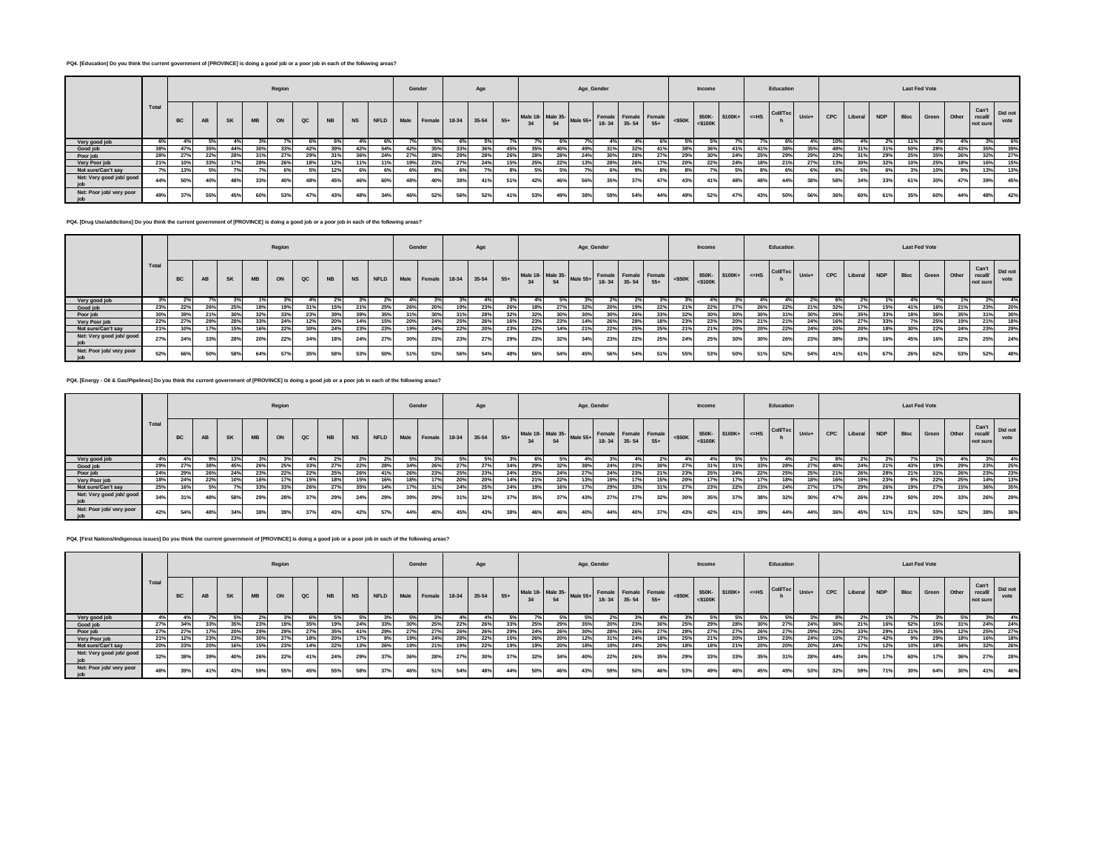## **PQ4. [Education] Do you think the current government of [PROVINCE] is doing a good job or a poor job in each of the following areas?**

|                          |       |           |           |           |           | Region     |               |           |     |     |     | Gender                    |     | Age         |     |                                                                             |     | Age_Gender |     |     |     |           | Income        |                  |     | Education       |       |            |             |     |      | <b>Last Fed Vote</b> |       |                    |                       |
|--------------------------|-------|-----------|-----------|-----------|-----------|------------|---------------|-----------|-----|-----|-----|---------------------------|-----|-------------|-----|-----------------------------------------------------------------------------|-----|------------|-----|-----|-----|-----------|---------------|------------------|-----|-----------------|-------|------------|-------------|-----|------|----------------------|-------|--------------------|-----------------------|
|                          | Total | <b>BC</b> | <b>AB</b> | <b>SK</b> | <b>MB</b> | ON         | $_{\alpha c}$ | <b>NB</b> |     |     |     | NS NFLD Male Female 18-34 |     | $35-54$ 55+ |     | Male 18- Male 35-<br>34 54 Male 55+ Female Female Female<br>18-34 35-54 55+ |     |            |     |     |     | $<$ \$50K | $<$ \$100 $K$ | $$50K-$100K+-HS$ |     | <b>Coll/Tec</b> | Univ+ | <b>CPC</b> | Liberal NDP |     | Bloc | Green                | Other | recall<br>not sure | Can't Did not<br>vote |
| Very good job            | 6%    |           |           |           | 20/2      |            |               |           |     |     |     |                           |     |             |     |                                                                             |     |            |     |     |     |           |               |                  |     |                 | 4%    | 10%        | 4%          | 2%  |      |                      |       | 3%                 |                       |
| Good job                 | 38%   | 47%       | 35%       | 44%       | 30%       | 33%        | 42%           | 39%       | 42% | 54% | 42% | 35%                       | 33% | 36%         | 45% | 35%                                                                         | 40% | 49%        | 31% | 32% |     | 38%       | 36%           | 41%              | 41% |                 | 35%   | 48%        | 31%         | 31% | 50%  | 28%                  | 43%   | 35%                | 39%                   |
| Poor job                 | 28%   | 27%       | 22%       | 28%       | 31%       | 27%        | 29%           | 31%       | 36% | 24% | 27% | 28%                       | 29% | 28%         | 26% | 28%                                                                         | 28% | 24%        | 30% | 28% |     | 29%       | 30%           | 24%              | 25% | 29%             | 29%   | 23%        | 31%         | 29% | 25%  | 35%                  | 26%   | 32%                | 27%                   |
| Very Poor job            | 21%   | 10%       |           |           | 28%       | <b>26°</b> | 18%           | 12%       | 11% | 11% | 19% | 23%                       | 27% | 24%         | 15% | 25%                                                                         | 22% | 13%        | 28% | 26% |     | 20%       | 22%           | 24%              | 18% | 21%             | 27%   | 13%        | 30%         | 32% | 10%  | 25%                  | 18%   | 16%                | 15%                   |
| Not sure/Can't say       | 7%    | 13%       |           |           | 70/       | 6%         | .5%           | 12%       | 6%  | 6%  | 6%  | 8%1                       |     |             | 8%  | 5%                                                                          | 5%  | 70/        | 6%  | Q%  | 8%  |           |               | 5%               | 8%  | 6%              | 6%    | 6%         | 5%          | 6%  |      | 10%                  |       | 13%                | 13%                   |
| Net: Very good job/ good | 44%   | 50%       | 40%       |           | 33%       |            | 48%           | 45%       |     | 60% | 48% | 40%                       | 38% | 41%         | 51% | 42%                                                                         | 46% | 56%        | 35% | 37% | 47% | 43%       |               | 48%              | 48% | 44%             | 38%   | 58%        | 34%         | 33% | 61%  | 30%                  | 47%   | 39%                | 45%                   |
| Net: Poor job/ very poor | 49%   |           | 55%       | 45%       | 60%       | 53%        | 47%           | 43%       | 48% | 34% | 46% | 52%                       | 56% | 52%         | 41% | 53%                                                                         | 49% | 38%        | 59% | 54% | 44% | 49%       | 52%           | 47%              | 43% | 50%             | 56%   | 36%        | 60%         | 61% | 35%  | 60%                  | 44%   | 48%                | 42%                   |

**PQ4. [Drug Use/addictions] Do you think the current government of [PROVINCE] is doing a good job or a poor job in each of the following areas?**

|                          |       |           |     |           |           | Region |               |           |     |         | Gender |             |      | Age         |       |     |     |                                     | Age_Gender                          |     |       |           | Income     |               |       | Education       |         |     |         |            | <b>Last Fed Vote</b> |       |              |                             |                 |
|--------------------------|-------|-----------|-----|-----------|-----------|--------|---------------|-----------|-----|---------|--------|-------------|------|-------------|-------|-----|-----|-------------------------------------|-------------------------------------|-----|-------|-----------|------------|---------------|-------|-----------------|---------|-----|---------|------------|----------------------|-------|--------------|-----------------------------|-----------------|
|                          | Total | <b>BC</b> |     | <b>SK</b> | <b>MB</b> | ON     | $_{\alpha c}$ | <b>NB</b> |     | NS NFLD |        | Male Female |      | 18-34 35-54 | $55+$ | 34  | 54  | Male 18- Male 35- Male 55+ Ferring- | Female Female Female<br>18-34 35-54 |     | $55+$ | $<$ \$50K | $<$ \$100K | \$50K-\$100K+ | $=HS$ | <b>Coll/Tec</b> | $Univ+$ | CPC | Liberal | <b>NDP</b> | <b>Bloc</b>          | Green | <b>Other</b> | Can't<br>recall<br>not sure | Did not<br>vote |
| Very good job            |       |           |     |           |           |        |               |           |     |         |        |             |      |             |       |     |     |                                     |                                     |     |       |           |            |               |       |                 |         |     |         |            |                      |       |              |                             |                 |
| Good job                 | 23%   | 22%       | 26% | 25%       |           |        | 240           | 15%       | 21% | 25%     | 26%    | 20%         | 19%1 | 23%         |       | 18% | 27% | 32%                                 | 20%                                 |     |       |           | 22%        | 27%           |       | 22%             |         | 32% |         | 15%        | 41%                  | 16%   | 21%          | 23%                         | 20%             |
| Poor job                 | 30%   | 39%       | 21% |           | 32%       | 33%    | 23%           | 39%       | 39% | 35%     | 31%    | 30%         | 31%  | 28%         | 32%   | 32% | 30% |                                     | 30%                                 | 26% |       |           | 30%        | 30%           | 30%   | 31%             | 30%     | 26% | 35%     | 33%        | 18%                  | 36%   | 35%          | 5.40                        | 30%             |
| Very Poor job            | 22%   |           | 29% | 28%       | 33%       | 24%    | 12%           | 20%       | 14% | 15%     | 20%    | 24%         | 25%  | 26%         |       | 23% | 23% |                                     | 26%                                 | 28% |       | 23%       | 23%        | 20%           | 21%   | 21%             | 24%     | 16% | 27%     |            |                      | 25%   | 19%          | 21%                         | 18%             |
| Not sure/Can't say       | 21%   | 10%       | 17% | 15%       | 16%       | 22%    | 30%           | 24%       | 23% | 23%     | 19%    | 24%         | 22%  | 20%         | 23%   | 22% | 14% | 21%                                 | 22%                                 | 25% | 25%   | 21%       | 21%        | 20%           | 20%   | 22%             | 24%     | 20% | 20%     | 18%        | 30%                  | 22%   | 24%          | 23%                         | 29%             |
| Net: Very good job/ good | 27%   | 24%       | 33% |           | 20%       | 22%    | 34%           | 18%       | 24% | 27%     | 30%    | 23%         | 23%  | 27%         | 29%   | 23% | 32% | 34%                                 | 23%                                 | 22% | 25%   | 24%       | <b>25%</b> | 30%           | 30%   | 26%             | 23%     | 38% | 19%     | 16%        | 45%                  | 16%   | 22%          | 25%                         | 24%             |
| Net: Poor job/ very poor | 52%   | 66%       | 50% |           | 64%       | 57     | 35%           | 58%       | 53% | 50%     | 51%    | 53%         | 56%  | 54%         | 48%   | 56% | 54% | 45%                                 | 56%                                 | 54% |       | 55%       | 53%        | 50%           | 51%   | 52%             | 54%     | 41% | 61%     | 67%        | 26%                  | 62%   | 53%          | 52%                         | 48%             |

**PQ4. [Energy - Oil & Gas/Pipelines] Do you think the current government of [PROVINCE] is doing a good job or a poor job in each of the following areas?**

|                                 |       |           |           |           |           | Region |     |           |           |             | Gender |             |             | Age             |       |     |     | Age_Gender                                                                   |     |     |     |                 | Income |                                                                                                                                                                                      |     | Education |     |     |         |            | <b>Last Fed Vote</b> |       |       |                             |                 |
|---------------------------------|-------|-----------|-----------|-----------|-----------|--------|-----|-----------|-----------|-------------|--------|-------------|-------------|-----------------|-------|-----|-----|------------------------------------------------------------------------------|-----|-----|-----|-----------------|--------|--------------------------------------------------------------------------------------------------------------------------------------------------------------------------------------|-----|-----------|-----|-----|---------|------------|----------------------|-------|-------|-----------------------------|-----------------|
|                                 | Total | <b>BC</b> | <b>AB</b> | <b>SK</b> | <b>MB</b> | ON     | QC  | <b>NB</b> | <b>NS</b> | <b>NFLD</b> |        | Male Female | 18-34 35-54 |                 | $55+$ |     |     | Male 18- Male 35-<br>34 54 Male 55+ Female Female Female <\$50K<br>35-54 55+ |     |     |     |                 |        | $\left \begin{array}{c c}\n\hline\n\text{4a} & \text{450K}\n\end{array}\right $ 550K- 5100K+ $\left \begin{array}{c c}\n\hline\n\text{4b} & \text{60WTeC}\n\end{array}\right $ Univ+ |     |           |     | CPC | Liberal | <b>NDP</b> | <b>Bloc</b>          | Green | Other | Can't<br>recall<br>not sure | Did not<br>vote |
| Very good job                   |       |           |           |           |           |        |     | $\sim$    |           | $2\%$       |        |             |             |                 |       | 6%  |     |                                                                              |     |     |     |                 |        |                                                                                                                                                                                      | 59  |           |     |     |         |            |                      | 1%1   |       |                             |                 |
| Good job                        | 29%   |           | 38%       | 45%       | 26%       | 25%    | 33% | 27%       | 22%       | 28%         | 34%    | 26%         | 27%         | 27 <sup>°</sup> | 34%   | 29% | 32% | 38%                                                                          | 24% | 23% | 30% | 27 <sup>°</sup> | 31%    | 31%                                                                                                                                                                                  | 33% | 28%       | 27% | 40% | 24%     | 21%        | 43%                  | 19%   | 29%   | 23%                         | 25%             |
| Poor job                        | 24%   | 29%       | 26%       | 24%       | 23%       | 22%    | 22% | 25%       | 26%       |             | 26%    | 23%         | 25%         | 23%             | 24%   | 25% | 24% |                                                                              | 24% | 23% | 21% | 23%             | 25%    | 24%                                                                                                                                                                                  | 22% | 25%       | 25% | 21% | 26%     | 28%        | 21%                  | 240   | 26%   | 23%                         | 23%             |
| Very Poor job                   | 18%   | 24%       |           | 10%       |           |        | 15% | 18%       | 15%       | 16%         | 18%    |             | 20%         | 20%             | 14%   | 21% | 22% | 13%                                                                          | 19% |     | 15% | 20%             |        | 17%                                                                                                                                                                                  | 17% | 18%       |     | 16% | 19%     | 23%        | 9%                   | 22%   | 25%   | 14%                         | 13%             |
| Not sure/Can't say              | 25%   | 16%       |           | 7%        | 33%       | 33%    | 26% | 27%       | 35%       | 14%         | 17%    | 31%         | 24%         | 25%             | 24%   | 19% | 16% | 17%                                                                          | 29% | 33% | 31% | 27%             | 23%    | 22%                                                                                                                                                                                  | 23% | 24%       | 27% | 17% | 29%     | 26%        | 19%                  | 27%   | 15%   | 36%                         | 35%             |
| Net: Very good job/ good<br>ioh | 34%   | 5.40      | 48%       | 58%       | 29%       | 28%    | 37% | 29%       | 24%       | 29%         | 39%    | 29%         | 31%         | 32%             | 37%   | 35% | 37% | 43%                                                                          | 27% | 27% | 32% | 30%             | 35%    | 37%                                                                                                                                                                                  | 38% | 32%       | 30% | 47% | 26%     | 23%        | 50%                  | 20%   | 33%   | 26%                         | 29%             |
| Net: Poor job/ very poor        | 42%   | 54%       | 48%       | 34%       | 38°       | 39%    | 37% | 43%       | 42%       | 57%         | 44%    | 40%         | 45%         | 43%             | 38%   | 46% | 46% | 40%                                                                          | 44% | 40% | 37% | 43%             | 42%    | 41%                                                                                                                                                                                  | 39% | 44%       | 44% | 36% | 45%     | 51%        | 31%                  | 53%   | 52%   |                             | 36%             |

**PQ4. [First Nations/Indigenous issues] Do you think the current government of [PROVINCE] is doing a good job or a poor job in each of the following areas?**

|                          |       |           |           |           |           | Region |     |           |           |             | Gender |        |     | Age         |       |     |     | Age_Gender                 |                                     |     |       |           | Income        |                                                 |     | Education |     |     |         |            | <b>Last Fed Vote</b> |       |       |                             |                 |
|--------------------------|-------|-----------|-----------|-----------|-----------|--------|-----|-----------|-----------|-------------|--------|--------|-----|-------------|-------|-----|-----|----------------------------|-------------------------------------|-----|-------|-----------|---------------|-------------------------------------------------|-----|-----------|-----|-----|---------|------------|----------------------|-------|-------|-----------------------------|-----------------|
|                          | Total | <b>BC</b> | <b>AB</b> | <b>SK</b> | <b>MB</b> | ON     | QC  | <b>NB</b> | <b>NS</b> | <b>NFLD</b> | Male   | Female |     | 18-34 35-54 | $55+$ |     | 54  | Male 18- Male 35- Male 55+ | Female Female Female<br>18-34 35-54 |     | $55+$ | $<$ \$50K | $<$ \$100 $K$ | $$50K $100K+$ $\leq$ $\text{HS}$ Coll/Tec Univ+ |     |           |     | CPC | Liberal | <b>NDP</b> | Bloc                 | Green | Other | Can't<br>recall<br>not sure | Did not<br>vote |
| Very good job            |       |           |           | 5%        |           |        | 6%  | .5%       |           |             |        |        | 4%  |             |       |     |     |                            | 2%                                  |     |       |           |               |                                                 |     |           |     |     |         |            |                      |       |       |                             |                 |
| Good job                 | 27%   |           | 33%       | 35%       | 23%       | 19%    | 35% | 19%       | 24%       | 33%         | 30%    | 25%    | 22% |             | 33%   | 25% | 29% | 35%                        | 20%                                 | 23% | 30%   | 25%       | 29%           | 28%                                             | 30% | 27%       | 24% | 36% | 21%     | 16%        | 52%                  | 15%   | 31%   | 24%                         | 24%             |
| Poor job                 | 27%   |           |           | 20%       | 29%       | 29%    | 27% | 35%       | 41%       | 29%         | 27%    | 27%    | 26% | 26%         | 29%   | 24% | 26% | 30%                        | 28%                                 | 26% | 27%   | 28%       | 27%           | 27%                                             | 26% | 27%       | 29% | 22% | 33%     | 29%        | 21%                  | 35%   | 12%   | 25%                         | 27%             |
| Very Poor job            | 21%   | 12%       |           | 23%       | 30%       | 27%    | 18% | 20%       | 17%       | 8%          | 19%    | 24%    | 28% |             | 15%   | 26% | 20% | 12%                        | 31%                                 | 24% | 18%   | 25%       | 21%           | 20%                                             | 19% | 23%       | 24% | 10% |         | 42%        | 9%                   | 29%   | 18%   | 16%                         | 18%             |
| Not sure/Can't say       | 20%   | 23%       | 20%       | 16%       | 15%       | 23%    | 14% | 22%       | 13%       | 26%         | 19%    | 21%    | 19% | 22%         | 19%   | 19% | 20% | 18%                        | 19%                                 | 24% | 20%   | 18%       | 18%           | 21%                                             | 20% | 20%       | 20% | 24% | 17%     | 12%        | 10%                  | 18%   | 34%   | 32%                         | 26%             |
| Net: Very good job/ good | 32%   | 38        |           |           | 26%       | 22%    | 41% | 24%       | 29%       | 37%         | 36%    | 28%    | 27% | 30%         | 37%   | 32% | 34% | 40%                        | 22%                                 | 26% | 35%   | 29'       | 33%           | 33%                                             | 35% | 31%       | 28% | 44% | 24%     | 17%        | 60%                  |       | 36%   | 27%                         | 28%             |
| Net: Poor job/ very poor |       | 39%       | 41%       | 43%       | 59%       | 55%    | 45% | 55%       | 58%       | 37%         | 46%    | 51%    | 54% | 48%         | 44%   | 50% | 46% | 43%                        | 59%                                 | 50% | 46%   | 53%       | 49%           | 46%                                             | 45% | 49%       | 53% | 32% | 59%     | 71%        | 30%                  | 64%   | 30    | 41%                         | 46%             |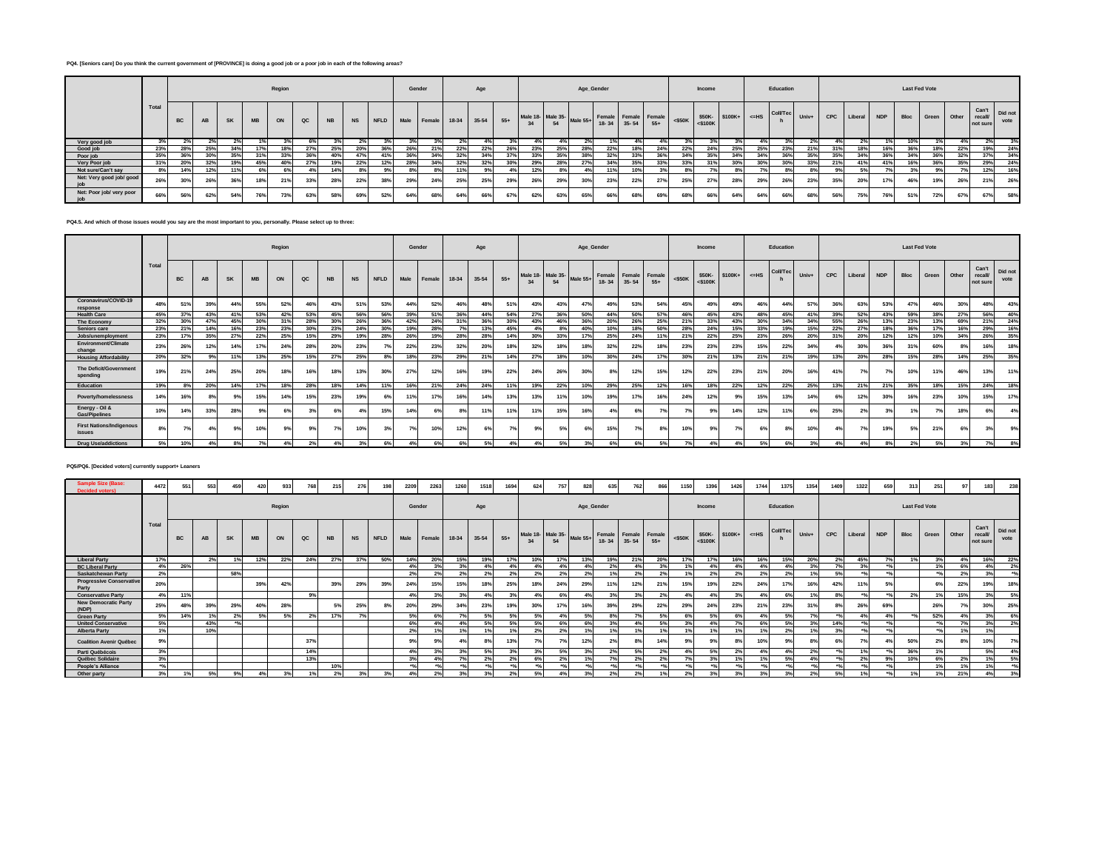## **PQ4. [Seniors care] Do you think the current government of [PROVINCE] is doing a good job or a poor job in each of the following areas?**

|                          |       |           |           |     |           | Region |     |           |     |     |     | Gender                    |     | Age     |       |                                                                             |     | Age_Gender |     |     |     |           | Income        |                   |     | Education       |       |     |             |     | <b>Last Fed Vote</b> |       |       |                                     |      |
|--------------------------|-------|-----------|-----------|-----|-----------|--------|-----|-----------|-----|-----|-----|---------------------------|-----|---------|-------|-----------------------------------------------------------------------------|-----|------------|-----|-----|-----|-----------|---------------|-------------------|-----|-----------------|-------|-----|-------------|-----|----------------------|-------|-------|-------------------------------------|------|
|                          | Total | <b>BC</b> | <b>AB</b> | SK  | <b>MB</b> | ON     | QC  | <b>NB</b> |     |     |     | NS NFLD Male Female 18-34 |     | $35-54$ | $55+$ | Male 18- Male 35-<br>34 54 Male 55+ Female Female Female<br>18-34 35-54 55+ |     |            |     |     |     | $<$ \$50K | $<$ \$100 $K$ | $$50K-$100K+$=HS$ |     | <b>Coll/Tec</b> | Univ+ | CPC | Liberal NDP |     | Bloc                 | Green | Other | Can't Did not<br>recall<br>not sure | vote |
| Very good job            | 3%    |           |           |     | 1%        |        | 6%  | 3%        |     |     |     |                           | 2%  |         |       |                                                                             | 4%  |            |     |     |     |           |               |                   |     |                 | 2%    |     | 2%          |     | 10%                  |       |       |                                     |      |
| Good job                 | 23%   | 28%       | 25%       | 34% | 17%       | 18%    | 27% | 25%       | 20% | 36% | 26% | 21%                       | 22% | 22%     | 26%   | 23%                                                                         | 25% | 28%        | 22% | 18% | 24% | 22%       | 24%           | 25%               | 25% | 23%             | 21%   | 31% | 18%         | 16% | 36%                  | 18%   | 22%   | 19%                                 | 24%  |
| Poor job                 | 35%   | 36%       | 30%       | 35% | 31%       | 33%    | 36% | 40%       | 47% | 41% | 36% | 34%                       | 32% | 34%     | 37%   | 33%                                                                         | 35% | 38%        | 32% | 33% |     | 34%       | 35%           | 34%               | 34% |                 | 35%   | 35% | 34%         | 36% | 34%                  | 36%   | 32%   | 37%                                 | 34%  |
| Very Poor job            | 31%   | 20%       |           | 19% | 45%       | 40%    | 27% | 19%       | 22% | 12% | 28% | 34%                       | 32% | 32%     | 30%   | 29%                                                                         | 28% | 27%        | 34% | 35% | 33% |           |               | 30%               | 30% | 30 <sup>°</sup> | 33%   | 21% | 41%         | 41% | 16%                  | 36%   | 35%   | 29%                                 | 24%  |
| Not sure/Can't say       | 8%    |           | 12%       |     | 6%        | 6%     |     | 14%       |     |     | 8%  | 8%1                       | 11% | 9%      | 4%    | 12%                                                                         | 8%  | 4%         | 11% | 10% |     |           |               | 8%                |     | 8%              |       | 9%  | 5%          | 7°  | 3%                   | 9%    |       | 12%                                 | 16%  |
| Net: Very good job/ good | 26%   |           | 26%       | 36% | 18%       | 219    | 33% | 28%       | 22% | 38% | 29% | 24%                       | 25% | 25%     | 29%   | 26%                                                                         | 29% | 30%        | 23% | 22% | 27% | 25%       | 270/          | 28%               | 29% |                 | 23%   | 35% | 20%         | 17% | 46%                  | 19%   | 26%   | 21%                                 | 26%  |
| Net: Poor job/ very poor | 66%   | 56%       | 62%       | 54% | 76%       | 73%    | 63% | 58%       | 69° | 52% | 64% | 68%                       | 64% | 66%     | 67%   | 62%                                                                         | 63% | 65%        | 66% | 68% | 69% | 68%       | 66%           | 64%               | 64% | 66%             | 68%   | 56% | 75%         | 76% | 51%                  | 72%   | 67%   | 67%                                 | 58%  |

## **PQ4.5. And which of those issues would you say are the most important to you, personally. Please select up to three:**

|                                           |       |           |     |           |           | Region          |                 |                 |           |             | Gender |        |       | Age   |       |                |     | Age_Gender                      |             |                      |       |           | Income                  |          |         | Education       |       |     |         |            | <b>Last Fed Vote</b> |       |       |                             |                 |
|-------------------------------------------|-------|-----------|-----|-----------|-----------|-----------------|-----------------|-----------------|-----------|-------------|--------|--------|-------|-------|-------|----------------|-----|---------------------------------|-------------|----------------------|-------|-----------|-------------------------|----------|---------|-----------------|-------|-----|---------|------------|----------------------|-------|-------|-----------------------------|-----------------|
|                                           | Total | <b>BC</b> |     | <b>SK</b> | <b>MB</b> | ON              | $_{\alpha c}$   | <b>NB</b>       | <b>NS</b> | <b>NFLD</b> | Male   | Female | 18-34 | 35-54 | $55+$ | Male 18-<br>34 | 54  | $\sim$   Male 35-<br>  Male 55+ | 18-34 35-54 | Female Female Female | $55+$ | $<$ \$50K | \$50K-<br>$<$ \$100 $K$ | $$100K+$ | $<=$ HS | <b>Coll/Tec</b> | Univ+ | CPC | Liberal | <b>NDP</b> | Bloc                 | Green | Other | Can't<br>recall<br>not sure | Did not<br>vote |
| Coronavirus/COVID-19<br>response          | 48%   | 51%       | 39% | 44%       | 55%       | 52%             | 46 <sup>°</sup> | 43%             | 51%       | 53%         | 44%    | 52%    | 46%   | 48%   | 51%   | 43%            | 43% | 47%                             | 49%         | 53%                  | 54%   | 45%       | 49%                     | 49%      | 46%     | 44%             | 57%   | 36% | 63%     | 53%        | 47%                  | 46%   | 30%   | 48%                         | 43%             |
| <b>Health Care</b>                        | 45%   | 37%       | 43% | 41%       | 53%       | 42%             | 53%             | 45%             | 56%       | 56%         | 39%    | 51%    | 36%   | 44%   | 54%   | 27%            | 36% | 50%                             | 44%         | 50%                  | 57%   | 46%       | 45%                     | 43%      | 48%     | 45%             | 41%   | 39% | 52%     | 43%        | 59%                  | 38%   | 27%   | 56%                         | 40%             |
| The Economy                               | 32%   | 30%       | 47% | 45%       | 30%       | 31%             | 28%             | 30%             | 26%       | 36%         | 42%    | 24%    | 31%   | 36%   | 30%   | 43%            | 46% | 36%                             | 20%         | 26%                  | 25%   | 21%       | 33%                     | 43%      | 30%     | 34%             | 34%   | 55% | 26%     | 13%        | 23%                  | 13%   | 69%   | 21%                         | 24%             |
| Seniors care                              | 23%   | 21%       | 14% | 16%       | 23%       | 23%             | 30%             | 23%             | 24%       | 30%         | 19%    | 28%    | 70L   | 13%   | 45%   | 4%             | 8%  | 40%                             | 10%         | 18%                  | 50%   | 28%       | 24%                     | 15%      | 33%     | 19%             | 15%   | 22% | 27%     | 18%        | 36%                  | 17%   | 16%   | 29%                         | 16%             |
| Jobs/unemployment                         | 23%   | 17%       | 35% | 27%       | 22%       | 25%             | 15%             | 29%             | 19%       | 28%         | 26%    | 19%    | 28%   | 28%   | 14%   | 30%            | 33% | 17%                             | 25%         | 24%                  |       | 21%       | 22%                     | 25%      | 23%     | 26%             | 20%   | 31% | 20%     | 12%        | 12%                  | 10%   | 34%   | 26%                         | 35%             |
| Environment/Climate<br>change             | 23%   | 26%       | 12% |           | 17        | 24%             | 28%             | 20%             | 23%       |             | 22%    | 23%    | 32%   | 20%   | 18%   | 32%            | 18% | 18%                             | 32%         | 22%                  | 18%   | 23%       | 23%                     | 23%      | 15%     | 22%             | 34%   | 4%  | 30%     | 36%        | 31%                  | 60%   | 8%    | 16%                         | 18%             |
| <b>Housing Affordability</b>              | 20%   | 32%       |     | 11%       | 13%       | 25%             | 15%             | 27%             | 25%       | 8%          | 18%    | 23%    | 29%   | 21%   | 14%   | 27%            | 18% | 10%                             | 30%         | 24%                  | 17%   | 30%       | 219                     | 13%      | 21%     | 21%             | 19%   | 13% | 20%     | 28%        | 15%                  | 28%   | 14%   | 25%                         | 35%             |
| The Deficit/Government<br>spending        | 19%   | 21%       | 24% | 25%       | 20%       | 18 <sup>°</sup> | 16%             | 18 <sup>°</sup> | 13%       | 30%         | 27%    | 12%    | 16%   | 19%   | 22%   | 24%            | 26% | 30%                             | 8%          | 12%                  | 15%   | 12%       | 22%                     | 23%      | 21%     | 20°             | 16%   |     | 7%      | 7%         | 10%                  | 11%   | 46%   | 13%                         | 11%             |
| Education                                 | 19%   |           | 20% | 14%       | 17%       | 18%             | 28%             | 18%             | 14%       | 11%         | 16%    | 21%    | 24%   | 24%   |       | 19%            | 22% | 10%                             | 29%         | 25%                  | 12%   | 16%       | 18%                     | 22%      | 12%     | 22%             | 25%   | 13% | 21%     | 21%        | 35%                  | 18%   | 15%   | 24%                         | 18%             |
| Poverty/homelessness                      | 14%   | 16%       |     | 9%        | 15%       | 14%             | 15%             | 23%             | 19%       | 6%          | 11%    | 17%    | 16%   | 14%   | 13%   | 13%            | 11% | 10%                             | 19%         | 17%                  | 16%   | 24%       | 12%                     |          | 15%     | 13%             | 14%   | 6%  | 12%     | 30%        | 16%                  | 23%   | 10%   | 15%                         | 17%             |
| Energy - Oil &<br><b>Gas/Pipelines</b>    | 10%   |           | 33% | 28%       |           | 6%              |                 | 6%              | 4%        | 15%         | 14%    |        | 8%    | 11%   | 11%   | 11%            | 15% | 16%                             | 4%          | 6%                   |       | 7%        | 9%                      | 14%      | 12%     | 11%             |       | 25% | 2%      |            | 1%                   |       | 18%   | 6%                          | 4%              |
| <b>First Nations/Indigenous</b><br>issues | 8%    | 7%        |     | 9%        | 10'       |                 |                 |                 | 10%       |             | 7%     | 10%    | 12%   |       |       | 9%             | 5%  | 6%                              | 15%         | 7%                   | 8%    | 10%       | 93                      |          |         | 8%              | 10%   | 4%  | 7%      | 19%        | 5%1                  | 219   | 6%    | 3%                          | 9%              |
| <b>Drug Use/addictions</b>                | 5%    | 10%       | 4%  |           | 70/       |                 | 2%              | 4 <sup>°</sup>  | 3%        | 6%          | 4%     | 6%     | 6%    | 5%    |       | 4%             | 5%  | 3%                              | 6%          | 6%                   | 5%    | 7%        |                         | 4%       | 5%      | 6%              | 3%    | 4%  | 4%      |            | 2%                   | 5%    | 3%    | 7%                          | 8%              |

## **PQ5/PQ6. [Decided voters] currently support+ Leaners**

| <b>Sample Size (Base:</b><br><b>Decided voters)</b> | 4472  | 551       | 553       |           | 42        | 933    | 768           | 215            | 276       | 194         | 2209   | 2263   | 1260  | 1518  | 1694           | 624                     | 757            | 828             | 635                                 | 762  | 866   |                 | 1396                    | 1426           | 1744           | 1375            |       | 1409 | 1322    | 659        |                      | 25    |       | 183                         | 238             |
|-----------------------------------------------------|-------|-----------|-----------|-----------|-----------|--------|---------------|----------------|-----------|-------------|--------|--------|-------|-------|----------------|-------------------------|----------------|-----------------|-------------------------------------|------|-------|-----------------|-------------------------|----------------|----------------|-----------------|-------|------|---------|------------|----------------------|-------|-------|-----------------------------|-----------------|
|                                                     |       |           |           |           |           | Region |               |                |           |             | Gender |        |       | Age   |                |                         |                | Age_Gender      |                                     |      |       |                 | Income                  |                |                | Education       |       |      |         |            | <b>Last Fed Vote</b> |       |       |                             |                 |
|                                                     | Total | <b>BC</b> | <b>AB</b> | <b>SK</b> | <b>MB</b> | ON     | $_{\alpha c}$ | <b>NB</b>      | <b>NS</b> | <b>NFLD</b> | Male   | Female | 18-34 | 35-54 | $55+$          | Male 18- Male 35-<br>34 | 54             | Male $55+$      | Female Female Female<br>18-34 35-54 |      | $55+$ | $<$ \$50K       | \$50K-<br>$<$ \$100 $K$ | $$100K+$       | $<$ -HS        | <b>Coll/Tec</b> | Univ+ | CPC  | Liberal | <b>NDP</b> | Bloc                 | Green | Other | Can't<br>recall<br>not sure | Did not<br>vote |
| <b>Liberal Party</b>                                |       |           | 2%        | 1%        | 12%       | 22%    | 24%           | 27%            | 37%       | 50%         | 14%    | 20%    | 15%   | 19%   |                | 10%                     |                |                 | 19%                                 | 21%  | 20%   |                 | 17%                     |                | 16%            | 15%             | 20%   | 2%   | 45%     | 7%         |                      | 3%    | - 4%  | 16%                         | 22%             |
| <b>BC Liberal Party</b>                             | 4%    | 26%       |           |           |           |        |               |                |           |             | 4%     | 3%     | 20L   | 4%    | 4%             | 4%                      | 4%             | 4%              | 2%                                  |      | 20L   |                 | 4%                      |                | 4%             | 4%              | 3%    | 70/  | 3%      |            |                      | 1%    | 6%    | 4%                          |                 |
| <b>Saskatchewan Party</b>                           | 2%    |           |           | 58%       |           |        |               |                |           |             | 2%     | 2%     | 2%    | 2%    | 2%             | 2%                      | 2 <sup>°</sup> | 2%              |                                     | 2%   | 2%    | 40I             | 2%                      | 2%             | 2%             | 2%              | 1%    | 5%   | ADI     |            |                      |       | 2%    | 3%                          | AD              |
| <b>Progressive Conservative</b><br>Party            | 20%   |           |           |           | 39%       | 42%    |               | 39%            | 29%       | 39%         | 24%    | 15%    | 15%   | 18%   | 25%            | 18%                     | 24%            | 29%             |                                     | 12%  | 21%   | 15%             | 19%                     | 22%            | 24%            | 17%             | 16%   | 42%  |         |            |                      | 6%    | 22%   | 19%                         | 18%             |
| <b>Conservative Party</b>                           | 4%    | 11%       |           |           |           |        | 9%            |                |           |             | 4%     | 3%     | 3%    | 4%    | 3%             | 4%                      | 62             | 4%              | 3%                                  | 3%   | 2%    | 4%              | 4%                      | 3%             | 4%             | 6%              | 1%    | 8%   | 40/     | 40I        | 2%                   | 1%    | 15%   | 3%                          | 5%              |
| <b>New Democratic Party</b><br>(NDP)                | 25%   | 48%       | 39%       | 29%       | 40%       | 28%    |               | 5%             | 25%       | 8%          | 20%    | 29%    | 34%   | 23%   | 19%            | 30%                     | 17%            | 16%             | 39%                                 | 29%  | 22%   | 29%             | 24%                     | 23%            | 21%            | 23%             | 31%   | 8%   | 26%     | 69%        |                      | 26%   |       | 30%                         | 25%             |
| <b>Green Party</b>                                  | 5%    | 14%       | 1%        | 296       | 5%        | 5%     | 2%            | 17%            | 7%        |             | 5%     | 6%     | 70    | 5%    | 5%             | 5%                      |                | 5%              | 8%                                  | 7%   |       | 6%              | 5%                      | 6%             | 4%             | 5%              | 7%    | 40L  | 4%      | 4%         |                      | 52%   |       | 3%                          | 6%              |
| <b>United Conservative</b>                          | 5%    |           | 43%       | 40I       |           |        |               |                |           |             | 6%     | 4%     |       | 5%    | 5%             | 5%                      | 62             | 6%              | 3%                                  | 4%   | 5%    | 3%              | 4%                      | 79/            | 6%             | 5%              | 3%    | 14%  | $+0/$   | 40I        |                      |       | 791   | 3%                          | 2%              |
| <b>Alberta Party</b>                                | 1%    |           | 10%       |           |           |        |               |                |           |             | 2%     | 1%     |       |       |                | 2%                      | 2 <sup>°</sup> | 1%              |                                     | 1%   |       |                 |                         |                | 19             | 2%              | 1%    | 3%   |         |            |                      |       |       | 1%                          |                 |
| <b>Coalition Avenir Québec</b>                      | 9%    |           |           |           |           |        | 37%           |                |           |             | 9%     | 9%     |       |       | 13%            | 7%                      | 7 <sup>o</sup> | 12%             | 2%                                  | 8%   | 14%   |                 | 9%                      | 8%             | 10%            | 9%              |       |      | 7%      |            | 50%                  | 2%    | 8%    | 10%                         |                 |
| Parti Québécois                                     | 3%    |           |           |           |           |        | 14%           |                |           |             | 4%     | 3%     | 3%    | 5%    | 3%             | 30/                     | 5%             | 30 <sub>6</sub> | 2%                                  | 5%   | 2%    | 401             | 5%                      | 2°             | 4%             | 4%              | 2%    | 40L  | 1%      |            | 36%                  | 1%    |       | 5%                          |                 |
| Québec Solidaire                                    | 3%    |           |           |           |           |        | 13%           |                |           |             | 3%     | 4%     |       | 29L   | 2 <sup>0</sup> |                         |                | 19/             |                                     | 2%   |       |                 | 3%                      |                |                | 5%              | 4%    |      | 2%      |            | 10%                  | 6%    |       | 1%                          | 5%              |
| People's Alliance                                   | 49/   |           |           |           |           |        |               | 10%            |           |             | 49/    | 60I    | $-$   |       | $\sim$         |                         | $\bullet$      |                 | $\bullet$                           | 40.4 |       |                 |                         | $\overline{a}$ | 0 <sup>0</sup> | $+0.0$          | $+9/$ | 40L  | $+0.0$  | 40I        |                      | 1%    | 191   | 1%                          | A <sub>0</sub>  |
| Other party                                         | 3%    | 1%        |           |           |           |        | 1%            | 2 <sup>o</sup> | 30        |             |        | 2%     | 201   |       | 2 <sup>o</sup> | E <sup>o</sup>          |                |                 |                                     | 2%   |       | 20 <sub>0</sub> |                         |                |                | 3%              | 2%    | 5%   |         |            |                      | 40L   | 219   | 4%                          | 3%              |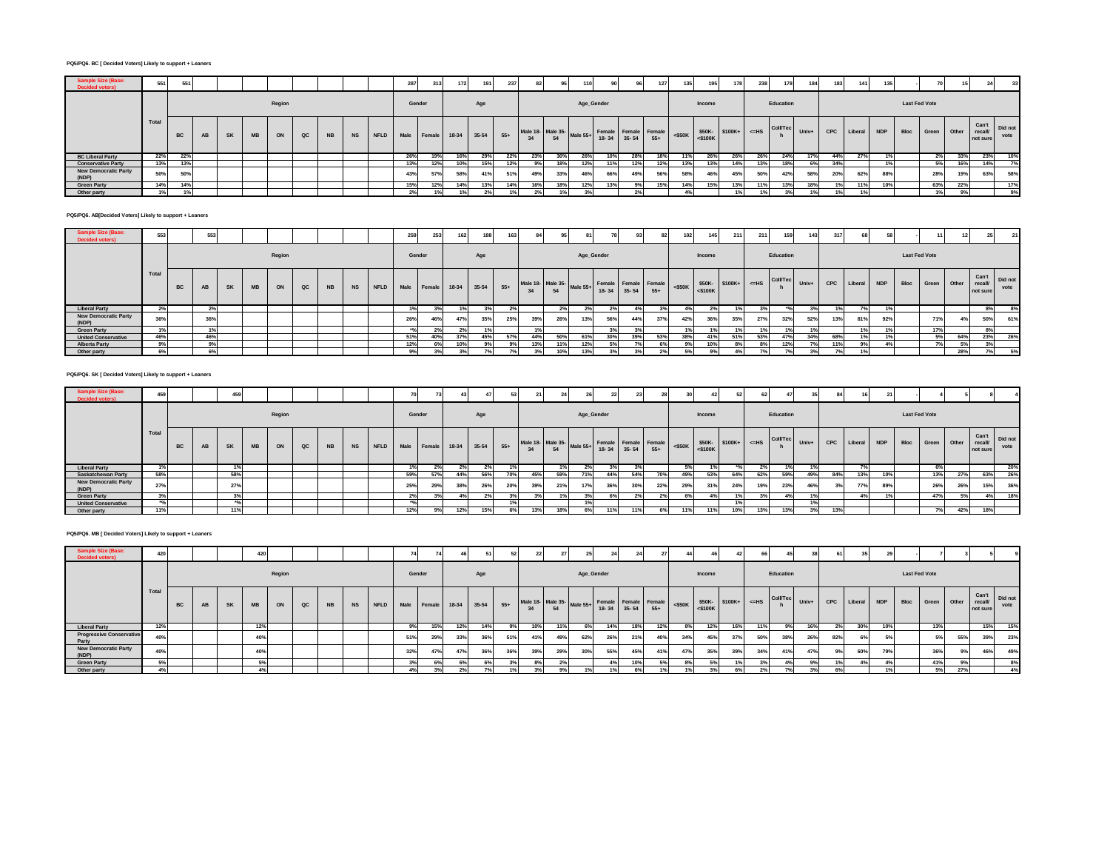## **PQ5/PQ6. BC [ Decided Voters] Likely to support + Leaners**

| Sample Size (Base:<br><b>Decided voters)</b> | 551   | 551       |    |    |    |        |    |           |           | 287    | 313              | 172   | 191     | 237   | 82                                     | 95  |            | 90  |                                         | 127 | 135       | 195                             | 178 | 238 | 178       | 184   | 40 <sup>4</sup> | 141     | 135        |      |                      |       |                    | 331                   |
|----------------------------------------------|-------|-----------|----|----|----|--------|----|-----------|-----------|--------|------------------|-------|---------|-------|----------------------------------------|-----|------------|-----|-----------------------------------------|-----|-----------|---------------------------------|-----|-----|-----------|-------|-----------------|---------|------------|------|----------------------|-------|--------------------|-----------------------|
|                                              |       |           |    |    |    | Region |    |           |           | Gender |                  |       | Age     |       |                                        |     | Age_Gender |     |                                         |     |           | Income                          |     |     | Education |       |                 |         |            |      | <b>Last Fed Vote</b> |       |                    |                       |
|                                              | Total | <b>BC</b> | AB | SK | MB | ON     | QC | <b>NB</b> | <b>NS</b> |        | NFLD Male Female | 18-34 | $35-54$ | $55+$ | Male 18- Male 35- Male 55+ Fema-<br>34 | 54  |            |     | Female Female Female<br>18-34 35-54 55+ |     | $<$ \$50K | $$50K-$ \$100K+ <=HS<br><\$100K |     |     | Coll/Tec  | Univ+ | CPC             | Liberal | <b>NDP</b> | Bloc | Green                | Other | recall<br>not sure | Can't Did not<br>vote |
| <b>BC Liberal Party</b>                      | 22%   | 22%       |    |    |    |        |    |           |           | 26%    | 19%              | 16%   | 29%     | 22%   | 23%                                    | 30% | 26%        | 10% | 28%                                     |     | 11%       | 26%                             | 26% | 26% | 24%       | 17%   | 44%             | 27%     |            |      | 2%                   | 33%   | 23%                | 10%                   |
| <b>Conservative Party</b>                    | 13%   |           |    |    |    |        |    |           |           | 13%    | 12%              | 10%   | 15%     | 12%   | 9%                                     | 18% | 12%        | 11% | 12%                                     |     | 13%       | 13%                             | 14% | 13% |           | 6%    | 34%             |         |            |      | 5%                   | 16%   | 14%                |                       |
| <b>New Democratic Party</b><br>(NDP)         | 50%   | 50%       |    |    |    |        |    |           |           | 43%    | 57%              | 58%   | 41%     | 51%   | 49%                                    | 33% | 46%        | 66% | 49%                                     | 56% | 58%       | 46%                             | 45% | 50% | 42%       | 58%   | 20%             | 62%     | 88%        |      | 28%                  | 19%   | 63%                | 58%                   |
| <b>Green Party</b>                           | 14%   |           |    |    |    |        |    |           |           | 15%    | 12%              | 14%   | 13%     | 14%   | 16%                                    | 18% | 12%        | 13% |                                         | 15% | 14%       | 15%                             | 13% | 11' | 13%       | 18%   | 19              | 11%     | 10%        |      | 63%                  | 22%   |                    | 17%                   |
| Other party                                  | 1%    |           |    |    |    |        |    |           |           | 2%     | 1%1              |       |         |       |                                        | 1%  |            |     |                                         |     |           |                                 |     |     | $\sim$    | 1%    | 10 <sub>1</sub> | 1%      |            |      | 1%                   |       |                    | 9%                    |

## **PQ5/PQ6. AB[Decided Voters] Likely to support + Leaners**

| ample Size<br><b>Decided voters)</b> | 553   |    | 553 |    |    |        |               |           |           | 259    | 253                    | 162 | 400     | 163   |                                                                       |     |            | 78             |     | 82  | 102       |        | 211                             | 211 | 159       | 143   | 31' | $^{\circ}$ |            |      |                      |       |                                     |      |
|--------------------------------------|-------|----|-----|----|----|--------|---------------|-----------|-----------|--------|------------------------|-----|---------|-------|-----------------------------------------------------------------------|-----|------------|----------------|-----|-----|-----------|--------|---------------------------------|-----|-----------|-------|-----|------------|------------|------|----------------------|-------|-------------------------------------|------|
|                                      |       |    |     |    |    | Region |               |           |           | Gender |                        |     | Age     |       |                                                                       |     | Age_Gender |                |     |     |           | Income |                                 |     | Education |       |     |            |            |      | <b>Last Fed Vote</b> |       |                                     |      |
|                                      | Total | BC | AB  | SK | MB | ON     | $_{\alpha c}$ | <b>NB</b> | <b>NS</b> |        | NFLD Male Female 18-34 |     | $35-54$ | $55+$ | Male 18-<br>34 54 Male 55+ Female Female Female<br>34 54 54 35-54 55+ |     |            |                |     |     | $<$ \$50K |        | $$50K-$ \$100K+ <=HS<br><\$100K |     | Coll/Tec  | Univ+ | CPC | Liberal    | <b>NDP</b> | Bloc | Green                | Other | Can't Did not<br>recall<br>not sure | vote |
| <b>Liberal Party</b>                 | 2%    |    |     |    |    |        |               |           |           |        |                        | 1%  | 3%      |       |                                                                       | 2%  |            | 2 <sup>9</sup> |     | 50. | 4%        | 2%1    | 1%                              |     | **        |       | 19  | 7%         |            |      |                      |       | 8%                                  | 8%   |
| <b>New Democratic Party</b><br>(NDP) | 36%   |    | 36% |    |    |        |               |           |           | 26%    | 46%                    | 47% | 35%     | 25%   | 39%                                                                   | 26% | 13%        | 56%            | 44% | 37% | 42%       | 36%    | 35%                             | 27% | 32%       | 52%   | 13% | 81%        | 92%        |      | 71%                  |       | 50%                                 | 61%  |
| <b>Green Party</b>                   | 1%    |    | 1%  |    |    |        |               |           |           |        | 2%                     | 2%  |         |       |                                                                       |     |            |                |     |     | 1%        |        |                                 |     |           | 1%    |     | 1%         |            |      | 17%                  |       | 8%                                  |      |
| <b>United Conservative</b>           | 46%   |    | 46% |    |    |        |               |           |           | 51%    | 40%                    | 37% | 45%     | 57%   | 44%                                                                   | 50% | 61%        | 30%            | 39% | 53% | 38%       | 41%    | 51%                             | 53% | 47°       | 34%   | 68% | 1%         |            |      | 5%                   | 64%   | 23%                                 | 26%  |
| <b>Alberta Party</b>                 | 9%    |    | 9%  |    |    |        |               |           |           | 12%    | 6%                     | 10% |         | 9%    | 13%                                                                   | 11% | 12%        | 5%             |     |     |           | 10%    | 8%                              | 8%  | 12%       | 7%    | 11% | 9%         | 4%         |      | 7%                   | 5%    | 3%                                  |      |
| Other party                          | 6%    |    | 6%  |    |    |        |               |           |           | 9%     | 3%                     | 3%  |         |       |                                                                       | 10% | 13%        |                |     |     |           | 9%     |                                 |     |           | 3%    |     | 1%         |            |      |                      | 28%   | 7%                                  | 5%   |

## **PQ5/PQ6. SK [ Decided Voters] Likely to support + Leaners**

| Sample Size (Base <sup>®</sup><br><b>Decided voters)</b> | 459   |    |    | 459       |           |        |    |           |                                     |        |     |     |     |     |                         |     |            | 22  |     |     |     |                 |     |     |                                                                                                                                                                                                                                                                                                                                                          |     | 84  |                 |     |                      |                  |     |                                     |      |
|----------------------------------------------------------|-------|----|----|-----------|-----------|--------|----|-----------|-------------------------------------|--------|-----|-----|-----|-----|-------------------------|-----|------------|-----|-----|-----|-----|-----------------|-----|-----|----------------------------------------------------------------------------------------------------------------------------------------------------------------------------------------------------------------------------------------------------------------------------------------------------------------------------------------------------------|-----|-----|-----------------|-----|----------------------|------------------|-----|-------------------------------------|------|
|                                                          |       |    |    |           |           | Region |    |           |                                     | Gender |     |     | Age |     |                         |     | Age_Gender |     |     |     |     | Income          |     |     | Education                                                                                                                                                                                                                                                                                                                                                |     |     |                 |     | <b>Last Fed Vote</b> |                  |     |                                     |      |
|                                                          | Total | BC | AB | <b>SK</b> | <b>MB</b> | ON     | QC | <b>NB</b> | NS NFLD Male Female 18-34 35-54 55+ |        |     |     |     |     | Male 18-<br>54 Male 55+ |     |            |     |     |     |     |                 |     |     | $\left[\begin{array}{c c c c c} \epsilon & \text{Female} & \text{Female} \ \text{18-34} & \text{35-54} & \text{55+} \end{array}\right]$ < \$50K $\left[\begin{array}{c c c} \text{550K} & \text{550K} & \text{550K+} \end{array}\right]$ < $\left[\begin{array}{c c c} \text{Coll/Tec} & \text{University} \ \text{b} & \text{010K+} \end{array}\right]$ |     |     | CPC Liberal NDP |     |                      | Bloc Green Other |     | Can't Did not<br>recall<br>not sure | vote |
| <b>Liberal Party</b>                                     |       |    |    | 1%1       |           |        |    |           |                                     | 1%     | 2%  |     | 2%  |     |                         |     | 2%         | 3%  |     |     |     |                 |     | 2%  |                                                                                                                                                                                                                                                                                                                                                          |     |     | 7%              |     |                      | 6%               |     |                                     | 20%  |
| Saskatchewan Party                                       | 58%   |    |    | 58%       |           |        |    |           |                                     | 59%    |     | 44% | 56% | 70% | 45%                     | 59% | 71%        | 44% | 54% | 70% | 49% | 53%             | 64% | 62% | 59%                                                                                                                                                                                                                                                                                                                                                      | 49% | 84% | 13%             | 10% |                      | 13%              | 27% | 63%                                 | 26%  |
| <b>New Democratic Party</b><br>(NDP)                     | 270/  |    |    | 27%       |           |        |    |           |                                     | 25%    | 29% | 38% | 26% | 20% | 39%                     | 21% | 17%        | 36% | 30% | 22% | 29% | 31 <sup>5</sup> | 24% | 19% | 23%                                                                                                                                                                                                                                                                                                                                                      | 46% |     | 77%             | 89% |                      | 26%              | 26% | 15%                                 | 36%  |
| <b>Green Party</b>                                       | 20I   |    |    | 3%        |           |        |    |           |                                     | 2%     | 3%1 |     | 2%  | 3%  | 3%                      | 1%  | 3%         | 6%  | 2%  |     | 6%  |                 | 1%  | 3%  |                                                                                                                                                                                                                                                                                                                                                          | 491 |     | 4%              |     |                      | 47%              | 5%  | 4%                                  | 18%  |
| <b>United Conservative</b>                               |       |    |    |           |           |        |    |           |                                     |        |     |     |     |     |                         |     |            |     |     |     |     |                 | 191 |     |                                                                                                                                                                                                                                                                                                                                                          |     |     |                 |     |                      |                  |     |                                     |      |
| Other party                                              |       |    |    | 11%       |           |        |    |           |                                     | 12%    | 9%  | 12% | 15% | 6%  | 13%                     | 18% |            |     | 11% |     | 11% | 119             | 10% | 13% | 13%                                                                                                                                                                                                                                                                                                                                                      | 3%  | 13% |                 |     |                      |                  | 42% | 18%                                 |      |

#### **PQ5/PQ6. MB [ Decided Voters] Likely to support + Leaners**

| Aample Size (Baser<br><b>Decided voters)</b> | 420   |    |           |           | 420 |        |    |    |         | 74     | $\sim$          |       |         |       |     |     | 25                                                                          |     | 24  |     |     |        |     |     |           |                                                                                                                                                                                                                                 |            |         |            |                      |             |     |                                              |      |
|----------------------------------------------|-------|----|-----------|-----------|-----|--------|----|----|---------|--------|-----------------|-------|---------|-------|-----|-----|-----------------------------------------------------------------------------|-----|-----|-----|-----|--------|-----|-----|-----------|---------------------------------------------------------------------------------------------------------------------------------------------------------------------------------------------------------------------------------|------------|---------|------------|----------------------|-------------|-----|----------------------------------------------|------|
|                                              |       |    |           |           |     | Region |    |    |         | Gender |                 |       | Age     |       |     |     | Age_Gender                                                                  |     |     |     |     | Income |     |     | Education |                                                                                                                                                                                                                                 |            |         |            | <b>Last Fed Vote</b> |             |     |                                              |      |
|                                              | Total | BC | <b>AB</b> | <b>SK</b> | MB  | ON     | QC | NB | NS NFLD | Male   | Female          | 18-34 | $35-54$ | $55+$ |     |     | Male 18- Male 35-<br>34 54 Male 55+ Female Female Female<br>18-34 35-54 55+ |     |     |     |     |        |     |     |           | $\left \begin{array}{cc} \text{S50K} \\ \text{S50K} \end{array}\right $ $\left \begin{array}{cc} \text{S100K+} \\ \text{S100K} \end{array}\right $ $\left \begin{array}{cc} \text{C0IVTec} \\ \text{h} \end{array}\right $ Univ | <b>CPC</b> | Liberal | <b>NDP</b> | Bloc                 | Green Other |     | Can't Did not<br>recall <b>I</b><br>not sure | vote |
| <b>Liberal Party</b>                         | 12%   |    |           |           | 12% |        |    |    |         |        | 15%             | 12%   | 14%     | 9%    | 10% | 11% |                                                                             | 14% | 18% | 12% |     | 12%    | 16% | 11% |           | 16%                                                                                                                                                                                                                             |            | 30%     | 10%        |                      | 13%         |     | 15%                                          | 15%  |
| <b>Progressive Conservative</b><br>Party     | 40%   |    |           |           | 40% |        |    |    |         | 51%    | 29%             | 33%   | 36%     | 51%   | 41% | 49% | 62%                                                                         | 26% | 21% | 40% | 34% | 45%    | 37% | 50% | 38%       | 26%                                                                                                                                                                                                                             | 82%        | 6%      |            |                      | 5% l        | 55% | 39%                                          | 23%  |
| <b>New Democratic Party</b><br>(NDP)         | 40%   |    |           |           | 40% |        |    |    |         | 32%    | 47%             | 47%   | 36%     | 36%   | 39% | 29% | 30%                                                                         | 55% | 45% | 41% | 47% | 35%    | 39% | 34% | 41%       | 47%                                                                                                                                                                                                                             |            | 60%     | 79%        |                      | 36%         | 9%  | 46%                                          | 49%  |
| <b>Green Party</b>                           | 5%    |    |           |           |     |        |    |    |         |        | 6%              |       | 6%      |       | 8%  |     |                                                                             | 4%  | 10% |     |     |        |     |     |           | 99                                                                                                                                                                                                                              |            |         |            |                      | 41%         | 9%  |                                              | 8%   |
| Other party                                  | 4%    |    |           |           |     |        |    |    |         |        | 30 <sub>6</sub> |       |         |       |     | 9%  |                                                                             |     | 6%  | 1%  |     |        | 6%  | 20  |           | 29                                                                                                                                                                                                                              |            |         |            |                      | 5%          | 27% |                                              | 4%   |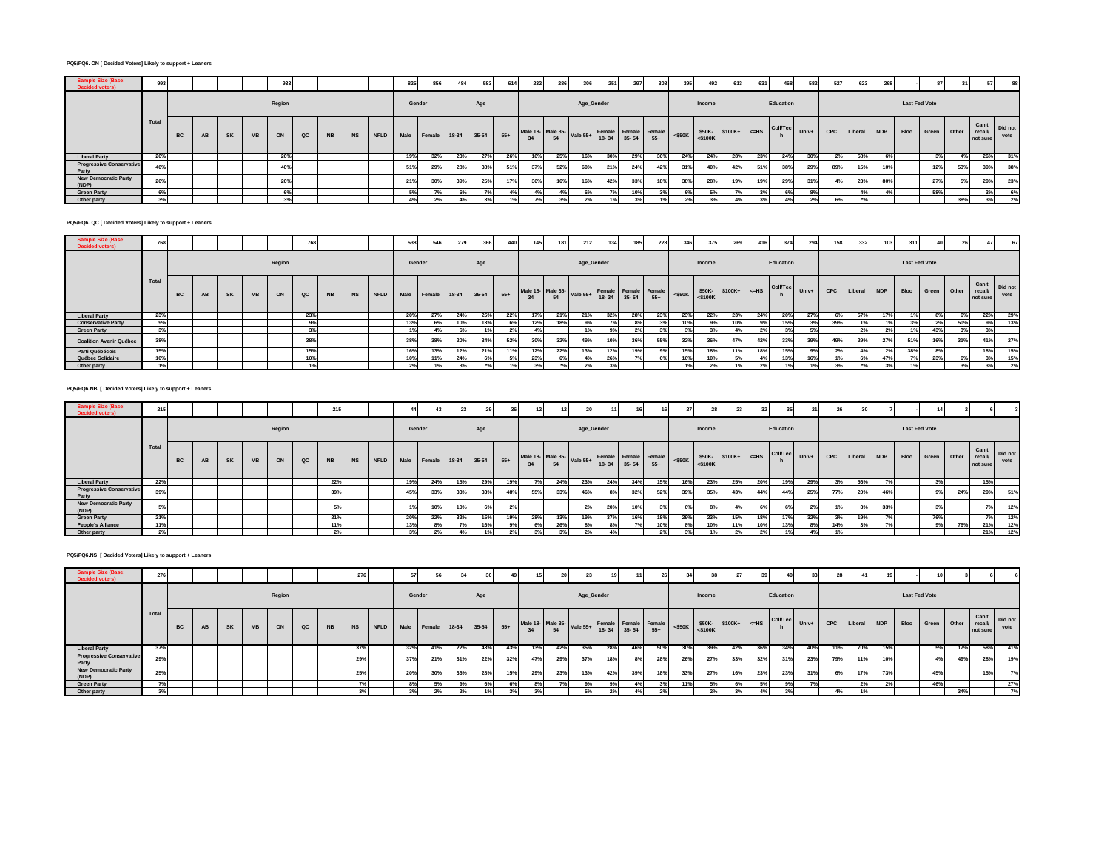## **PQ5/PQ6. ON [ Decided Voters] Likely to support + Leaners**

| ample Size (Base<br><b>Decided voters)</b> | 993   |    |    |           | 933    |               |           |    |                        | 825 | 856    | 484 | 583     | 614   | 232                                           | 286 | 306 | 251        | 297 | 308 | 395       | 492    | 613                             | 631 | 468       | 582   | 527 | 623         | 268 |      |                      |       |                     |                       |
|--------------------------------------------|-------|----|----|-----------|--------|---------------|-----------|----|------------------------|-----|--------|-----|---------|-------|-----------------------------------------------|-----|-----|------------|-----|-----|-----------|--------|---------------------------------|-----|-----------|-------|-----|-------------|-----|------|----------------------|-------|---------------------|-----------------------|
|                                            |       |    |    |           | Region |               |           |    |                        |     | Gender |     | Age     |       |                                               |     |     | Age_Gender |     |     |           | Income |                                 |     | Education |       |     |             |     |      | <b>Last Fed Vote</b> |       |                     |                       |
|                                            | Total | BC | SK | <b>MB</b> | ON     | $_{\alpha c}$ | <b>NB</b> | NS | NFLD Male Female 18-34 |     |        |     | $35-54$ | $55+$ | Male 18- Male 35-<br>34 54 54 18-34 35-54 55+ |     |     |            |     |     | $<$ \$50K |        | $$50K-$ \$100K+ <=HS<br><\$100K |     | Coll/Tec  | Univ+ | CPC | Liberal NDP |     | Bloc | Green                | Other | recall/<br>not sure | Can't Did not<br>vote |
| <b>Liberal Party</b>                       | 26%   |    |    |           | 26%    |               |           |    |                        | 19% | 32%    | 23% | 27%     | 26%   | 16%                                           | 25% | 16% | 30%        | 29% | 36% | 24%       | 24%    | 28%                             | 23% | 24%       | 30%   | 2%  | 58%         | 6%  |      | 3%                   |       | 26%                 | 31%                   |
| <b>Progressive Conservative</b><br>Party   | 40%   |    |    |           | 40%    |               |           |    |                        | 51% | 29%    | 28% | 38%     | 51%   | 37%                                           | 52% | 60% | 21%        | 24% | 42% | 31%       | 40%    | 42%                             | 519 | 38%       | 29%   | 89% | 15%         | 10% |      | 12%                  | 53%   | 39%                 | 38%                   |
| <b>New Democratic Party</b><br>(NDP)       | 26%   |    |    |           | 26%    |               |           |    |                        | 21% | 30%    | 39% | 25%     | 17%   | 36%                                           | 16% | 16% | 42%        | 33% |     | 38%       | 28%    | 19%                             | 19% | 29%       | 31%   | 4%  | 23%         | 80% |      | 27%                  | 5%    | 29%                 | 23%                   |
| <b>Green Party</b>                         | 6%    |    |    |           | 6%     |               |           |    |                        |     | 7%     |     |         |       |                                               |     | 6%  |            | 10% |     |           |        |                                 |     | 6%        |       |     | 4%          | 4%  |      | 58%                  |       | 3%                  | 6%                    |
| Other party                                | 3%    |    |    |           |        |               |           |    |                        | 4%  | 2%     |     |         |       |                                               |     |     |            |     |     |           |        |                                 |     |           | 2%    | 6%  |             |     |      |                      | 38%   | 3%                  | 2%                    |

# **PQ5/PQ6. QC [ Decided Voters] Likely to support + Leaners**

| Sample Size<br><b>Decided voters)</b> | 700   |           |           |           |           |        | 768 |           |           |      | 538    | 546         | 279 | 366         | 440             | 145                                                             | 181 | 212 | 134        | 185 | 228 | 346 | 375    | 269             | 416 | 374                                                                                                                                                                                                                     | 294             | 158        | 332     | 103        | 311                  |       |          | 47                          | 67              |
|---------------------------------------|-------|-----------|-----------|-----------|-----------|--------|-----|-----------|-----------|------|--------|-------------|-----|-------------|-----------------|-----------------------------------------------------------------|-----|-----|------------|-----|-----|-----|--------|-----------------|-----|-------------------------------------------------------------------------------------------------------------------------------------------------------------------------------------------------------------------------|-----------------|------------|---------|------------|----------------------|-------|----------|-----------------------------|-----------------|
|                                       |       |           |           |           |           | Region |     |           |           |      | Gender |             |     | Age         |                 |                                                                 |     |     | Age_Gender |     |     |     | Income |                 |     | Education                                                                                                                                                                                                               |                 |            |         |            | <b>Last Fed Vote</b> |       |          |                             |                 |
|                                       | Total | <b>BC</b> | <b>AB</b> | <b>SK</b> | <b>MB</b> | ON     | QC  | <b>NB</b> | <b>NS</b> | NFLD |        | Male Female |     | 18-34 35-54 | $55+$           | Male 18- Male 35-<br>34 54 Male 55+ Female Female Female <\$50K |     |     |            |     |     |     |        |                 |     | $\begin{array}{c c c c c c} \hline & & & \text{$50K$-} & & \text{$5100K$+} & & \text{$c=HS} & & \text{CollTec} & & \text{Univ+} & \text{\\ & & & \text{$5100K}$ & & & h & & \text{Univ+} & \text{\\ \hline \end{array}$ |                 | <b>CPC</b> | Liberal | <b>NDP</b> | Bloc                 | Green | -1 Other | Can't<br>recall<br>not sure | Did not<br>vote |
| <b>Liberal Party</b>                  | 23%   |           |           |           |           |        | 23% |           |           |      | 20%    | 27%         | 24% | 25%         | 22%             | 17%                                                             | 21% | 21% | 32%        | 28% | 23% | 23% | 22%    | 23%             | 24% | 20%                                                                                                                                                                                                                     | 27%             | 6%         | 57%     | 17%        |                      | $8\%$ | 6%       | 22%                         | 29%             |
| <b>Conservative Party</b>             | 9%    |           |           |           |           |        | 9%  |           |           |      | 13%    | 6%          | 10% | 13%         | 6%              | 12%                                                             | 18% | 9%1 |            |     |     | 10% | 9%1    | 10%             | 9%  | 15%                                                                                                                                                                                                                     | 20 <sub>0</sub> | 39%        | 40I     | 1%         | nn-                  | 2%    |          | 9%                          | 13%             |
| <b>Green Party</b>                    | 3%    |           |           |           |           |        | 3%  |           |           |      | 1%     | 4%          | 6%  |             | 20 <sub>0</sub> |                                                                 |     | 1%  |            | 2%  |     | 20I |        |                 | 2%  | 3%                                                                                                                                                                                                                      | 5%              |            | 2%      | 2%         |                      | 43%   | 3%       | 3%                          |                 |
| <b>Coalition Avenir Québec</b>        | 38%   |           |           |           |           |        | 38% |           |           |      | 38%    | 38%         | 20% | 34%         | 52%             | 30%                                                             | 32% | 49% |            | 36% | 55% | 32% | 36%    | 47 <sup>°</sup> | 42% | 33%                                                                                                                                                                                                                     | 39%             | 49%        | 29%     | 27%        | 51%                  | 16%   | 31%      | 41%                         | 27%             |
| Parti Québécois                       | 15%   |           |           |           |           |        | 15% |           |           |      | 16%    | 13%         | 12% | 21%         |                 | 12%                                                             | 22% | 13% | 12%        | 19% | 9%  | 15% | 18%    |                 | 18% | 15%                                                                                                                                                                                                                     | 9%              | 2%         | 4%      | 2%         | 38%                  | 8%    |          | 18%                         | 15%             |
| Québec Solidaire                      | 10%   |           |           |           |           |        | 10% |           |           |      | 10%    | 11%         | 24% |             | 5%              | 23%                                                             |     |     |            | 7%  |     | 16% | 10%    |                 |     | 13%                                                                                                                                                                                                                     | 16%             |            | 6%      | 47%        |                      | 23%   | 6%       | 3%                          | 15%             |
| Other party                           |       |           |           |           |           |        | 1%  |           |           |      | 2%     |             |     |             |                 |                                                                 |     |     |            |     |     |     |        |                 |     |                                                                                                                                                                                                                         | 1%              |            | ADI     |            |                      |       |          | 3%                          | 2%              |

## **PQ5/PQ6.NB [ Decided Voters] Likely to support + Leaners**

| Sample Size (Base:<br><b>Decided voters)</b> | 215   |           |    |           |           |        |    | 21'       |  | 44                                  |     |     |     |     |                                                                               |     | 20         |     | 16  |     |     |        |     | 32 <sup>1</sup> |                                                                 |     |     |                 |     |                      |                  |     |                              |                 |
|----------------------------------------------|-------|-----------|----|-----------|-----------|--------|----|-----------|--|-------------------------------------|-----|-----|-----|-----|-------------------------------------------------------------------------------|-----|------------|-----|-----|-----|-----|--------|-----|-----------------|-----------------------------------------------------------------|-----|-----|-----------------|-----|----------------------|------------------|-----|------------------------------|-----------------|
|                                              |       |           |    |           |           | Region |    |           |  | Gender                              |     |     | Age |     |                                                                               |     | Age_Gender |     |     |     |     | Income |     |                 | Education                                                       |     |     |                 |     | <b>Last Fed Vote</b> |                  |     |                              |                 |
|                                              | Total | <b>BC</b> | AB | <b>SK</b> | <b>MB</b> | ON     | QC | <b>NB</b> |  | NS NFLD Male Female 18-34 35-54 55+ |     |     |     |     | Male 18- Male 35-<br>34 54 Male 55+ Female Female Female <\$50K<br>34 55+ 55+ |     |            |     |     |     |     |        |     |                 | $\frac{1}{100}$ -S50K S50K-<br>S500K S100K+ <=HS Coll/Tec Univ+ |     |     | CPC Liberal NDP |     |                      | Bloc Green Other |     | Can't<br>recall/<br>not sure | Did not<br>vote |
| <b>Liberal Party</b>                         | 22%   |           |    |           |           |        |    | 22%       |  | 19%                                 | 24% | 15% | 29% | 19% | 7%                                                                            | 24% | 23%        | 24% | 34% | 15% | 16% | 23%    | 25% | 20%             | 19%                                                             | 29% | 3%  | 56%             |     |                      | 3%               |     | 15%                          |                 |
| <b>Progressive Conservative</b><br>Party     | 39%   |           |    |           |           |        |    | 39%       |  | 45%                                 | 33% | 33% | 33% | 48% | 55%                                                                           | 33% | 46%        | 8%  | 32% | 52% | 39% | 35%    | 43% | 44%             | 44%                                                             | 25% | 77% | 20%             | 46% |                      | 9%               | 24% | 29%                          | 51%             |
| <b>New Democratic Party</b><br>(NDP)         | 5%    |           |    |           |           |        |    |           |  |                                     | 10% | 10% |     |     |                                                                               |     | 2%         | 20% | 10% |     |     |        |     |                 |                                                                 |     |     | 20I             | 33% |                      |                  |     | 7%                           | 12%             |
| <b>Green Party</b>                           | 21%   |           |    |           |           |        |    | 21%       |  | 20%                                 | 22% | 32% | 15% |     | 28%                                                                           | 13% | 19%        | 37% | 16% | 18% | 29% | 23%    |     | 18%             | 17%                                                             | 32% |     | 19%             |     |                      | 76%              |     | 7%                           | 12%             |
| People's Alliance                            |       |           |    |           |           |        |    |           |  | 13%                                 |     |     | 16% |     | 6%                                                                            | 26% |            |     | 7%  | 10% |     | 10%    |     | 10%             | 13%                                                             | 8%  | 14% | 3%              |     |                      | 9%               |     | 21%                          | 12%             |
| Other party                                  |       |           |    |           |           |        |    |           |  |                                     |     |     |     |     |                                                                               |     |            |     |     |     |     |        |     |                 |                                                                 |     |     |                 |     |                      |                  |     | 21%                          | 12%             |

## **PQ5/PQ6.NS [ Decided Voters] Likely to support + Leaners**

| Jample Size (Base:<br><b>Decided voters)</b> | 276             |    |    |           |    |        |               |           | 276       |      |        |        |         |       |       |                                                                             |     |            |     | 11  |     |     |        |     |     |           |                                                                                                                                                                                                                                                                                   |            | 41              |            |                      |             |     |                             |                 |
|----------------------------------------------|-----------------|----|----|-----------|----|--------|---------------|-----------|-----------|------|--------|--------|---------|-------|-------|-----------------------------------------------------------------------------|-----|------------|-----|-----|-----|-----|--------|-----|-----|-----------|-----------------------------------------------------------------------------------------------------------------------------------------------------------------------------------------------------------------------------------------------------------------------------------|------------|-----------------|------------|----------------------|-------------|-----|-----------------------------|-----------------|
|                                              |                 |    |    |           |    | Region |               |           |           |      | Gender |        |         | Age   |       |                                                                             |     | Age_Gender |     |     |     |     | Income |     |     | Education |                                                                                                                                                                                                                                                                                   |            |                 |            | <b>Last Fed Vote</b> |             |     |                             |                 |
|                                              | Total           | BC | AB | <b>SK</b> | MB | ON     | $_{\alpha c}$ | <b>NB</b> | <b>NS</b> | NFLD | Male   | Female | $18-34$ | 35-54 | $55+$ | Male 18- Male 35-<br>34 54 Male 55+ Female Female Female<br>18-34 35-54 55+ |     |            |     |     |     |     |        |     |     |           | $\left \begin{array}{c c}\n\hline\n\text{min} & \text{SS0K}\n\end{array}\right $ $\left \begin{array}{c c}\n\text{S50K-}\n\end{array}\right $ $\left \begin{array}{c c}\n\text{S100K+}\n\end{array}\right $ $\left \begin{array}{c c}\n\text{Coll/Tec}\n\end{array}\right $ Univ+ | <b>CPC</b> | Liberal         | <b>NDP</b> | <b>Bloc</b>          | Green Other |     | Can't<br>recall<br>not sure | Did not<br>vote |
| <b>Liberal Party</b>                         | 37%             |    |    |           |    |        |               |           | 37%       |      | 32%    | 41%    | 22%     | 43%   | 43%   | 13%                                                                         | 42% | 35%        | 28% | 46% | 50% | 30% | 39%    | 42% | 36% | 34%       | 40%                                                                                                                                                                                                                                                                               | 11%        | <b>70%</b>      | 15%        |                      | 5%          |     | 58%                         | 41%             |
| <b>Progressive Conservative</b><br>Party     | 29%             |    |    |           |    |        |               |           | 29%       |      | 37%    | 21%    | 31%     | 22%   | 32%   | 47%                                                                         | 29% | 37%        |     | 8%  | 28% | 26% | 27%    | 33% | 32% | 31%       | 23%                                                                                                                                                                                                                                                                               | 79%        | 4494            | 10%        |                      | 4%          | 49% | 28%                         | 19%             |
| <b>New Democratic Party</b><br>(NDP)         | 25%             |    |    |           |    |        |               |           | 25%       |      | 20%    | 30%    | 36%     | 28%   | 15%   | 29%                                                                         | 23% | 13%        | 42% | 39% | 18% | 33% | 27%    |     | 23% | 23%       | 31%                                                                                                                                                                                                                                                                               |            | 17%             | 73%        |                      | 45%         |     | 15%                         | 7%              |
| <b>Green Party</b>                           |                 |    |    |           |    |        |               |           |           |      | 8%     |        |         |       | 6%    |                                                                             |     |            |     |     |     |     |        |     |     | 9%        |                                                                                                                                                                                                                                                                                   |            | 27 <sub>0</sub> |            |                      | 46%         |     |                             | 27%             |
| Other party                                  | 20 <sub>0</sub> |    |    |           |    |        |               |           |           |      |        | 2%     |         |       |       |                                                                             |     | 50/        |     |     |     |     |        |     | 4%  |           |                                                                                                                                                                                                                                                                                   |            | 40I             |            |                      |             | 34% |                             | 7%              |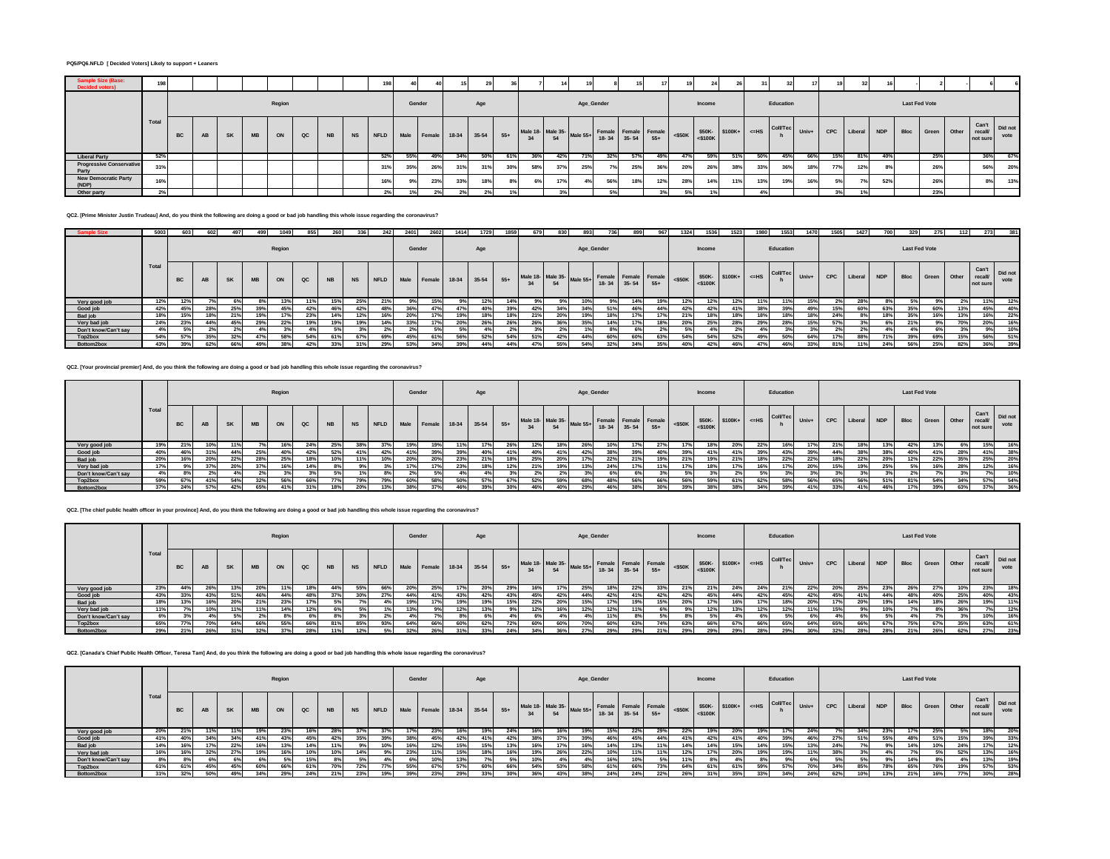## **PQ5/PQ6.NFLD [ Decided Voters] Likely to support + Leaners**

| amnie S<br><b>Decided voters)</b>        | 198   |           |    |    |    |        |               |           |           | 198                    |     | 40     |     |       |       |     |     |                                   |     |                                             | 17           |           | $\overline{\phantom{a}}$                |     |     |           |       |     | 32          |     |      |                      |       |                                     |      |
|------------------------------------------|-------|-----------|----|----|----|--------|---------------|-----------|-----------|------------------------|-----|--------|-----|-------|-------|-----|-----|-----------------------------------|-----|---------------------------------------------|--------------|-----------|-----------------------------------------|-----|-----|-----------|-------|-----|-------------|-----|------|----------------------|-------|-------------------------------------|------|
|                                          |       |           |    |    |    | Region |               |           |           |                        |     | Gender |     | Age   |       |     |     | Age_Gender                        |     |                                             |              |           | Income                                  |     |     | Education |       |     |             |     |      | <b>Last Fed Vote</b> |       |                                     |      |
|                                          | Total | <b>BC</b> | AB | SK | MB | ON     | $_{\alpha c}$ | <b>NB</b> | <b>NS</b> | NFLD Male Female 18-34 |     |        |     | 35-54 | $55+$ | 34  | 54  | Male 18- Male 35- Male 55+ Femal- |     | $+$ Female Female Female<br>18-34 35-54 55+ |              | $<$ \$50K | $$50K-$ \$100K+ $\leq HS$<br>$<$ \$100K |     |     | Coll/Tec  | Univ+ | CPC | Liberal NDP |     | Bloc | Green                | Other | Can't Did not<br>recall<br>not sure | vote |
| <b>Liberal Party</b>                     | 52%   |           |    |    |    |        |               |           |           | 52%                    | 55% | 49%    | 34% | 50%   | 61%   | 36% | 42% | 71%                               | 32% | 57%                                         | 49%          | 47%       | 59%                                     | 51% | 50% | 45%       | 66%   | 15% | 81%         | 40% |      | 25%                  |       | 36%                                 | 67%  |
| <b>Progressive Conservative</b><br>Party | 31%   |           |    |    |    |        |               |           |           | 31%                    | 35% | 26%    | 31% | 31%   | 30%   | 58% | 37% | 25%                               | 7%  | 25%                                         | 36%          | 20%       | 26%                                     | 38% | 33% | 36        | 18%   | 77% | 12%         | 8%  |      | 26%                  |       | 56%                                 | 20%  |
| <b>New Democratic Party</b><br>(NDP)     | 16%   |           |    |    |    |        |               |           |           | 16%                    | 9%  | 23%    | 33% | 18%   | 8%    | 6%  | 17% | 4%                                | 56% | 18%                                         | 12%          | 28%       | 14%                                     | 11% | 13% | 19%       | 16%   | 5%  | 7%          | 52% |      | 26%                  |       | 8%                                  | 13%  |
| Other party                              | 2%    |           |    |    |    |        |               |           |           |                        |     | 2%1    | 2%  | 296   |       |     |     |                                   | 59  |                                             | $\mathbf{a}$ |           |                                         |     |     |           |       | 20  | 1%          |     |      | 23%                  |       |                                     |      |

**QC2. [Prime Minister Justin Trudeau] And, do you think the following are doing a good or bad job handling this whole issue regarding the coronavirus?**

| <b>Sample Size</b>   | 5003  | 603       | 602 | 497       | 499       | 1049   | 855 | 260              | 336 | 242     | 2401   | 2602   | 1414 | 1729        | 1859  | 679 | 830 | 893 |                                                     | 899   | 967 | 1324      | 1536       | 1523              | 1980 | 1553      | 1470  | 1505       | 1427           | 700        | 329                  | 275         | 112 | 273                         | 381             |
|----------------------|-------|-----------|-----|-----------|-----------|--------|-----|------------------|-----|---------|--------|--------|------|-------------|-------|-----|-----|-----|-----------------------------------------------------|-------|-----|-----------|------------|-------------------|------|-----------|-------|------------|----------------|------------|----------------------|-------------|-----|-----------------------------|-----------------|
|                      |       |           |     |           |           | Region |     |                  |     |         | Gender |        |      | Age         |       |     |     |     | Age_Gender                                          |       |     |           | Income     |                   |      | Education |       |            |                |            | <b>Last Fed Vote</b> |             |     |                             |                 |
|                      | Total | <b>BC</b> | AB  | <b>SK</b> | <b>MB</b> | ON     | QC  | <b>NB</b>        |     | NS NFLD | Male   | Female |      | 18-34 35-54 | $55+$ |     |     |     | Male 18- Male 35-<br>34 Male 55+<br>18-34 35-54 55+ |       |     | $<$ \$50K | $<$ \$100K | $$50K-$100K+$=HS$ |      | Coll/Tec  | Univ+ | <b>CPC</b> | <b>Liberal</b> | <b>NDP</b> | <b>Bloc</b>          | Green Other |     | Can't<br>recall<br>not sure | Did not<br>vote |
| Very good job        | 12%   |           |     |           |           |        | 11% | 15% <sup>1</sup> | 25% | 21%     |        | 15%    |      | 12%         |       |     |     |     |                                                     | 14% 1 | 19% | 12%       |            | 12%               |      | 11%       | 15%   |            | 28%            |            |                      |             |     |                             | 12%             |
| Good job             | 42%   | 45%       | 28% | 25%       | 39%       | 45%    | 42% | 46%              | 42% | 48%     | 36%    | 47%    | 47%  | 40%         | 39%   | 42% | 34% | 34% | 51%                                                 | 46%   | 44% | 42%       | 42%        | 41%               | 38%  | 39%       | 49%   | 15%        | 60%            | 63%        | 35%                  | 60%         | 13% | 45%                         | 40%             |
| Bad job              | 18%   | 15%       | 18% | 210       | 19%       |        | 23% | 14%              | 12% | 16%     | 20%    | 17%    | 19%  | 18%         |       | 21% | 20% |     | 18%                                                 |       |     | 21%       | 18%        | 18%               | 18%  | 18%       |       | 24%        | 8%             | 18%        | 35%                  | 16%         | 13% |                             | 22%             |
| Very bad job         | 24%   | 23%       | 44% | 45%       | 29%       | 22%    | 19% | 19%              | 19% | 14%     | 33%    | 17%    | 20%  | 26%         | 26%   | 26% | 36% | 35% | 14%                                                 |       | 18% | 20%       | 25%        | 28%               | 29%  | 28%       | 15%   | 57%        |                |            | 21%                  |             | 70% | 20%                         | 16%             |
| Don't know/Can't say | 4%    | 50/       |     |           |           |        | 4%  | .5%              | 3%  |         |        |        |      |             |       |     |     |     |                                                     |       |     |           |            |                   |      |           |       |            |                |            |                      |             |     | $Q_0$                       | 10%             |
| Top2box              | 54%   | 57%       | 35% |           | 47%       |        | 54% | 61%              | 67% | 69%     | 45%    | 61%    | 56%  | 52%         | 54%   | 51% | 42% |     |                                                     | 60%   | 63% | 54%       | 54%        | 52%               | 49%  | 50%       | 64%   | 17%        | 88%            |            | 39%                  | 69%         | 15% | 56%                         | 51%             |
| Bottom2box           | 43%   | 39%       | 62% | 66%       | 49%       | 38%    | 42% | 33%              | 31% | 29%     | 53%    | 34%    | 39%  | 44%         | 44%   |     | 55% | 54% | 32%                                                 |       | 25% | 40%       |            | 46%               |      | 46%       | 33%   | 81%        | 11%            | 24%        | 56%                  | 25%         | 82% | 36%                         | 39%             |

**QC2. [Your provincial premier] And, do you think the following are doing a good or bad job handling this whole issue regarding the coronavirus?**

|                      |              |     |     |           |           | Region |     |           |     |         | Gender |        |             | Age |       |                                                     |     | Age_Gender |     |     |     |     | Income |     |     | Education                                                                                                                                                                                                                                 |     |     |        |     | <b>Last Fed Vote</b> |            |                  |                                     |      |
|----------------------|--------------|-----|-----|-----------|-----------|--------|-----|-----------|-----|---------|--------|--------|-------------|-----|-------|-----------------------------------------------------|-----|------------|-----|-----|-----|-----|--------|-----|-----|-------------------------------------------------------------------------------------------------------------------------------------------------------------------------------------------------------------------------------------------|-----|-----|--------|-----|----------------------|------------|------------------|-------------------------------------|------|
|                      | <b>Total</b> | BC  | AB  | <b>SK</b> | <b>MB</b> | ON     | QC  | <b>NB</b> |     | NS NFLD | Male   | Female | 18-34 35-54 |     | $55+$ | Male 18- Male 35-<br>34 54 Male 55+ 18-34 35-54 55+ |     |            |     |     |     |     |        |     |     | $\left \begin{array}{c c}\n\text{Female} \\ \text{S50K}\n\end{array}\right $ $\left \begin{array}{c c}\n\text{S50K} \\ \text{S100K+}\n\end{array}\right $ $\left \begin{array}{c c}\n\text{Coll/Tec} \\ \text{Iniv+}\n\end{array}\right $ |     | CPC | Libera | NDP |                      | Bloc Green | Other            | Can't Did not<br>recall<br>not sure | vote |
| Very good job        | 19%          | 21% | 10' |           |           |        |     | 25%       | 38% |         |        |        |             |     |       | 12%                                                 |     |            |     |     |     |     |        | 20% |     |                                                                                                                                                                                                                                           | 17% |     |        |     |                      |            |                  | 15%                                 |      |
| Good job             | 40%          | 46% |     | 44%       | 25%       | 40%    | 42% | 52%       | 41% | 42%     | 41%    | 39%    | 39%         | 40% |       | 40%                                                 | 41% | 42%        |     |     | 40% | 39% | 41%    | 41% | 39% | 43%                                                                                                                                                                                                                                       | 39% | 44% |        | 38% | 40%                  | 41%        | 28%              | 41%                                 | 38%  |
| Bad job              | 20%          | 16% | 20% | 22%       | 28%       | 25%    | 18% | 10%       | 11% | 10%     | 20%    | 20%    | 23%         | 21% |       | 25%                                                 | 20% | 17%        | 22% | 21% | 19% | 21% | 19%    | 21% | 18% | 22%                                                                                                                                                                                                                                       | 22% |     | 22%    | 20% | 12%                  | 22%        | 35%              | 25%                                 | 20%  |
| Very bad job         |              |     |     |           | 37%       |        | 14% |           |     |         | 17%    | 17%    | 23%         | 18% | 12%   | 21%                                                 | 19% | 13%        |     | 17% |     | 17% | 18     |     | 16% |                                                                                                                                                                                                                                           | 20% | 15% | 19%    | 25% | 5%                   |            |                  | 12%                                 | 16%  |
| Don't know/Can't say |              |     |     |           |           |        | 3%  | .5%       |     | 8%      | 2%     |        |             | 4%  |       | 2%                                                  |     |            | 6%  | 6%  |     |     |        |     | 5%  |                                                                                                                                                                                                                                           |     |     |        |     | 2%                   |            |                  | 7%                                  | 10%  |
| Top2box              | 59%          | 67% |     | 54%       | 32%       | 56%    | 66% | 77%       | 79% | 79%     | 60%    | 58%    | 50%         | 57% | 67%   | 52%                                                 | 59% | 68%        | 48% | 56% | 66% | 56% | 59%    | 61% | 62% | 58%                                                                                                                                                                                                                                       | 56% | 65% | 56%    | 51% | 81%                  | 54%        | 2401<br>$-54.76$ | 57%                                 | 54%  |
| Bottom2box           | 37%          | 24% | 57% | 42%       | 65%       | 41%    | 31% | 18%       | 20% | 13%     | 38%    | 37%    | 46%         | 39% | 30%   | 46%                                                 | 40% | 29%        | 46% | 38% | 30% | 39% | 38%    | 38% | 34% | 39%                                                                                                                                                                                                                                       | 41% | 33% | 41%    | 46% | 17%                  | 39%        | 63%              | 37%                                 | 36%  |

**QC2. [The chief public health officer in your province] And, do you think the following are doing a good or bad job handling this whole issue regarding the coronavirus?**

|                      |       |     |     |           |           | Region |               |           |     |              | Gender |        |                 | Age |      |     |                                                     | Age_Gender |     |     |       |     | Income |     |     | Education                                                                                                                                                                                                                                                |     |     |             |            | <b>Last Fed Vote</b> |     |     |                                |                 |
|----------------------|-------|-----|-----|-----------|-----------|--------|---------------|-----------|-----|--------------|--------|--------|-----------------|-----|------|-----|-----------------------------------------------------|------------|-----|-----|-------|-----|--------|-----|-----|----------------------------------------------------------------------------------------------------------------------------------------------------------------------------------------------------------------------------------------------------------|-----|-----|-------------|------------|----------------------|-----|-----|--------------------------------|-----------------|
|                      | Total |     | AB  | <b>SK</b> | <b>MB</b> | ON     | $_{\alpha c}$ | <b>NB</b> |     | NS NFLD Male |        | Female | 18-34 35-54 55+ |     |      |     | Male 18- Male 35-<br>34 54 Male 55+ 18-34 35-54 55+ |            |     |     |       |     |        |     |     | $\left \frac{1}{250K}\right $ <\$50K $\left \frac{1}{250K}\right $ \text{\bmatrix} \text{ \text{ \text{ \text{ \text{ \text{ \text{ \text{ \text{ \text{ \text{ \text{ \text{ \text{ \text{ \text{ \text{ \text{ \text{ \text{ \text{ \text{ \text{ \tex |     |     | CPC Liberal | <b>NDP</b> | <b>Bloc</b>          |     |     | Green Other recall<br>not sure | Did not<br>vote |
| Very good job        | 23%   |     | 26% |           | 20%       |        | 18%           | 44%       | 55% | 66%          | 20%    | 25%    |                 | 20% | 29%  | 16% | 17%                                                 | 25%        | 18% | 22% |       |     | 21%    | 24% | 24% | 21%                                                                                                                                                                                                                                                      | 22% | 20% | 25%         | 23%        | 26%                  |     | 10% |                                | 18%             |
| Good job             | 43%   | 33% | 43% |           | 46%       | 44%    | 48%           | 37%       | 30% | 27%          | 44%    | 41%    | 43%             | 42% | 43%  | 45% | 42%                                                 | 44%        | 42% | 41% | 42%   | 42% | 45%    | 44% | 42% | 45%                                                                                                                                                                                                                                                      | 42% | 45% | 41%         | 44%        | 48%                  | 40% | 25% | 40%                            | 43%             |
| Bad job              | 18%   |     | 16% | 20%       | 21%       | 23%    | 17%           | 5%        | 7%  |              | 19%    | 17%    | 19%             | 19% | 15%  | 22% | 20%                                                 | 15%        | 17% | 19% | 15%   | 20% | 17%    | 16% |     | 18%                                                                                                                                                                                                                                                      | 20% | 17% | 20%         | 19%        | 14%                  | 18% | 26% |                                | 11%             |
| Very bad job         | 1%    |     | 10% |           | 11%       |        | 12%           | 6°        | .5% |              |        |        |                 | 13% | 9%   | 12% | 16%                                                 | 2%         | 12% |     |       |     | 12%    | 13% |     | 12%                                                                                                                                                                                                                                                      | 119 | 15% | 9%          |            |                      |     | 36% |                                | 12%             |
| Don't know/Can't say | 6%    |     |     |           |           |        | 6%            |           |     |              |        |        |                 |     |      | 6%  | 4%                                                  |            | 11% |     |       |     |        |     |     |                                                                                                                                                                                                                                                          |     |     | 6%          |            |                      |     |     |                                | 16%             |
| Top2box              | 65%   |     | 70% | 64%       | 66%       | 55%    | 66%           | 81%       | 85% | 93%          | 64%    | 66%    | 60%             | 62% | 72%1 | 60% | 60%                                                 | 70%        | 60% | 63% | 74% 1 | 63% | 66%    | 67% | 66% | 65%                                                                                                                                                                                                                                                      | 64% | 65% | 66%         | 67%        | 75%                  | 67% | 35% | 63%                            | 61%             |
| Bottom2box           | 29%   | 21% | 26% | 240       |           |        | 28%           |           | 12% |              |        | 26%    |                 |     |      |     | 200                                                 |            | 20% | 20% |       |     | 29%    | 29% |     | 299                                                                                                                                                                                                                                                      | 20% |     | 28%         | 28%        | 21%                  |     |     | 270                            | 23%             |

**QC2. [Canada's Chief Public Health Officer, Teresa Tam] And, do you think the following are doing a good or bad job handling this whole issue regarding the coronavirus?**

|                      |      |      |            |           |           | Region |     |            |     |         | Gender |     |                    | Age |       |                                         |     |     | Age_Gender |     |                                                                                                                                                                                                                                                                                                                                                                                                  |     | Income |     |     | Education |     |     |        |         | <b>Last Fed Vote</b> |     |                          |                           |            |
|----------------------|------|------|------------|-----------|-----------|--------|-----|------------|-----|---------|--------|-----|--------------------|-----|-------|-----------------------------------------|-----|-----|------------|-----|--------------------------------------------------------------------------------------------------------------------------------------------------------------------------------------------------------------------------------------------------------------------------------------------------------------------------------------------------------------------------------------------------|-----|--------|-----|-----|-----------|-----|-----|--------|---------|----------------------|-----|--------------------------|---------------------------|------------|
|                      | Tota | BC   | AB         | <b>SK</b> | <b>MB</b> | ON     | QC  | <b>NB</b>  |     | NS NFLD | Male   |     | Female 18-34 35-54 |     | $55+$ | Male 18- Male 35- Male 55+ Female<br>34 | 54  |     |            |     | $\left \right $ -emale $\left \right $ -ssok $\left \right $ ssok stook $\left \right $ stook $\left \right $ -stook $\left \right $ -stook $\left \right $ -stook $\left \right $ -stook $\left \right $ -stook $\left \right $ -stook $\left \right $ -stook $\left \right $ -stook $\left \right $ -stook $\left \right $ -stook $\left \right $ -<br>Female Female Female<br>18-34 35-54 55+ |     |        |     |     |           |     | CPC | Libera | and NDP |                      |     | Bloc Green Other recall/ | Can't Did not<br>not sure | vote       |
| Very good job        | 20%  |      |            |           |           |        | 16% | 28%        | 37% |         |        | 23% | 16%                | 19% | 24%   | 16%                                     |     | 19% | 15%        | 22% | 29%                                                                                                                                                                                                                                                                                                                                                                                              | 22% |        | 20% | 19% |           | 24% |     |        |         |                      | 25% |                          | 18%                       | 20%        |
| Good job             | 41%  | 40%. |            | 34%       |           |        | 45% | 42%        | 35% | 39%     | 38%    | 45% | 42%                | 41% |       | 38%                                     | 37% | 39% | 46%        | 45% | 44%                                                                                                                                                                                                                                                                                                                                                                                              | 41% | 42%    | 419 | 40% | 39%       | 46% | 27% | 51%    | 55%     | 48%                  |     | 15%                      | 39%                       | <b>33%</b> |
| Bad job              |      |      |            | 22%       | 16%       |        | 14% |            |     | 10%     | 16%    | 12% | 15%                | 15% |       | 16%                                     |     | 16% | 14%        | 13% |                                                                                                                                                                                                                                                                                                                                                                                                  | 14% | 14%    | 15% | 14% | 15%       | 13% |     |        |         | 14%                  |     | 24%                      | 17%                       | 12%        |
| Very bad job         | 16%  | 16%  |            | 27%       | 19%       |        | 10% | 10%        | 14% | 9%      | 23%    | 11% | 15%                | 18% |       | 19%                                     | 26% | 22% | 10%        | 11% |                                                                                                                                                                                                                                                                                                                                                                                                  |     |        | 20% | 19% | 19%       | 11% | 38% |        |         |                      |     | 52%                      | 13%                       | 16%        |
| Don't know/Can't say | 8%   |      |            |           |           | 5%     | 15% |            |     |         |        | 10% | 13%                | 7%  | 5%1   | 10%                                     |     | 4%  | 16%        | 10% |                                                                                                                                                                                                                                                                                                                                                                                                  | 11% | 8%     |     |     |           |     | 5%  |        |         | 14%                  | 8%  |                          | 13%                       | 19%        |
| Top2box              | 61%  | 61%  | 45%        | 45%       | 60%       | 66%    |     | <b>70%</b> | 72% | 77%     | 55%    | 67% | 57%                | 60% | 66%   | 54%                                     | 53% | 58% |            | 66% | <b>73%</b>                                                                                                                                                                                                                                                                                                                                                                                       | 64% |        | 61% | 59% | 57%       | 70% | 34% | 85%    | 78%     | 65%                  |     |                          | 57%                       | 53%        |
| Bottom2box           |      | 32%  | <b>50%</b> | 49%       | 34%       | 29%    | 24% | 21%        | 23% |         | 20%    | 23% | 29%                |     |       | 260                                     | 43% | 38% | 24%        | 24% | 220/                                                                                                                                                                                                                                                                                                                                                                                             | 26% |        | 35% | 33% | 34%       | 24% | 62% | 10%    |         | 21%                  |     | 77%                      | 30%                       | 28%        |